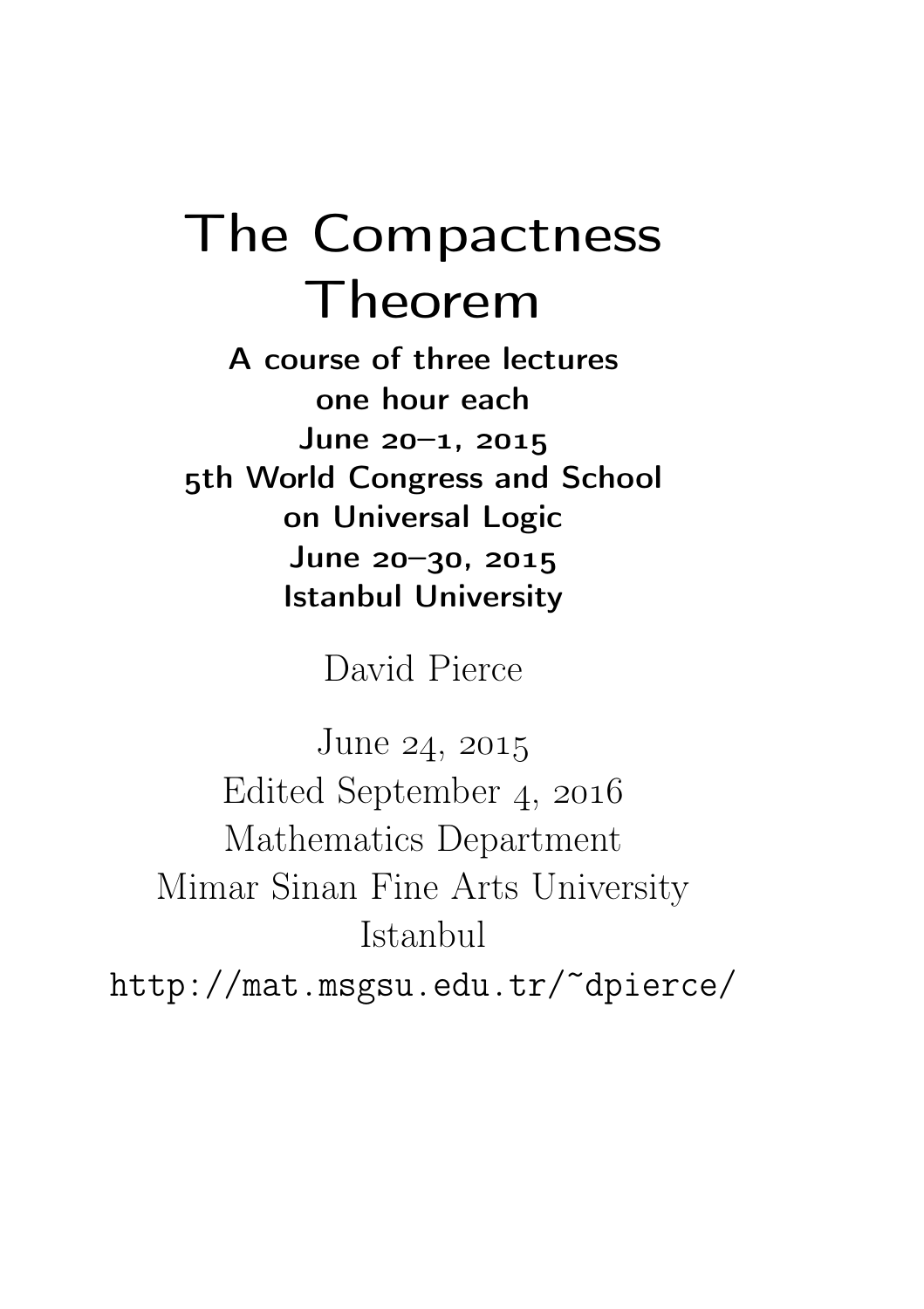# The Compactness Theorem

A course of three lectures one hour each  $June 20 - 1, 2015$ 5th World Congress and School on Universal Logic  $June 20-30, 2015$ Istanbul University

David Pierce

June  $24, 2015$ Edited September 4, 2016 Mathematics Department Mimar Sinan Fine Arts University Istanbul http://mat.msgsu.edu.tr/~dpierce/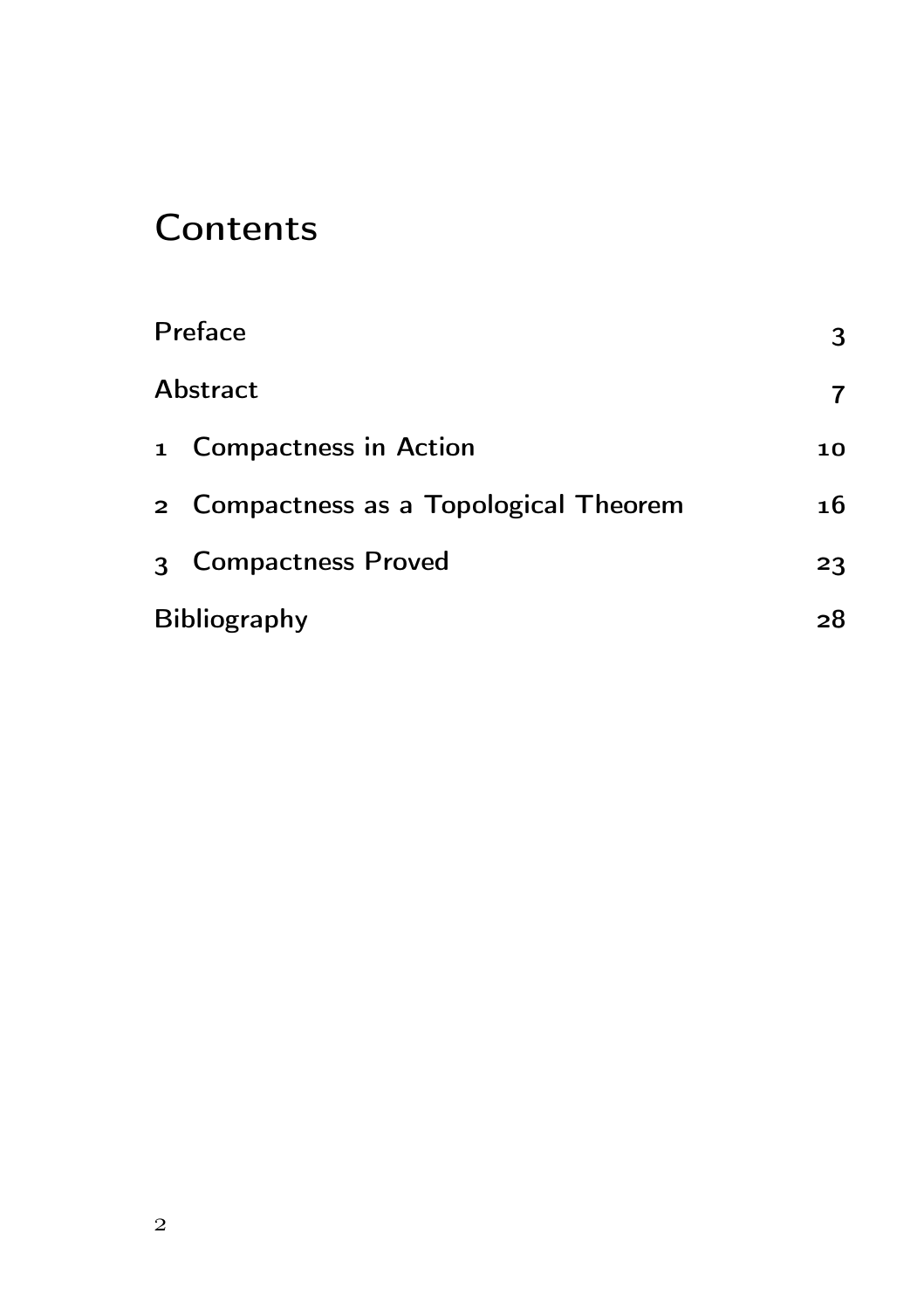# **Contents**

| Preface  |                                        |    |  |
|----------|----------------------------------------|----|--|
| Abstract | 7                                      |    |  |
|          | 1 Compactness in Action                | 10 |  |
|          | 2 Compactness as a Topological Theorem | 16 |  |
|          | 3 Compactness Proved                   | 23 |  |
|          | <b>Bibliography</b>                    |    |  |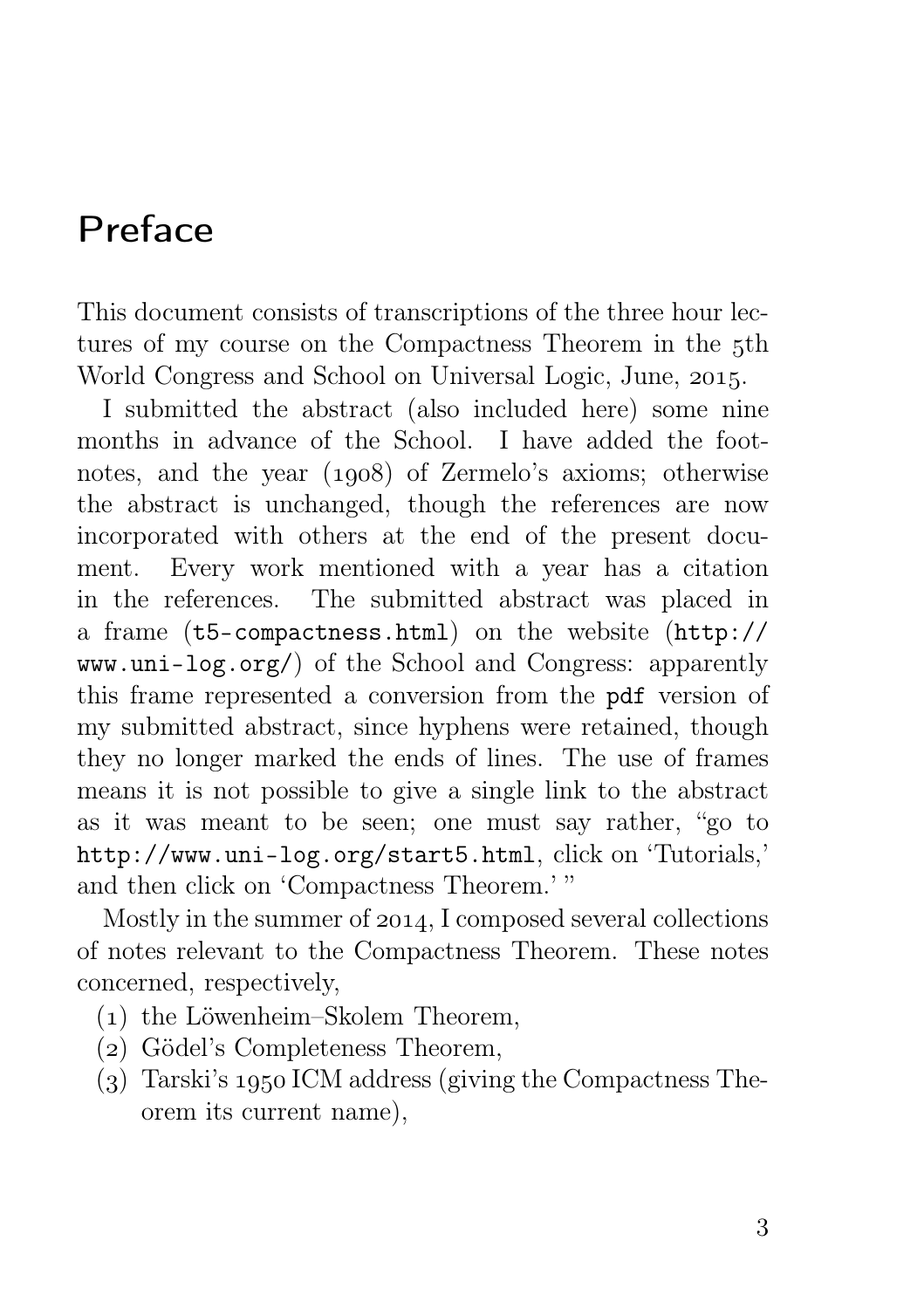# Preface

This document consists of transcriptions of the three hour lectures of my course on the Compactness Theorem in the 5th World Congress and School on Universal Logic, June, 2015.

I submitted the abstract (also included here) some nine months in advance of the School. I have added the footnotes, and the year  $(1908)$  of Zermelo's axioms; otherwise the abstract is unchanged, though the references are now incorporated with others at the end of the present document. Every work mentioned with a year has a citation in the references. The submitted abstract was placed in a frame (t5-compactness.html) on the website (http:// www.uni-log.org/) of the School and Congress: apparently this frame represented a conversion from the pdf version of my submitted abstract, since hyphens were retained, though they no longer marked the ends of lines. The use of frames means it is not possible to give a single link to the abstract as it was meant to be seen; one must say rather, "go to http://www.uni-log.org/start5.html, click on 'Tutorials,' and then click on 'Compactness Theorem.' "

Mostly in the summer of  $2014$ , I composed several collections of notes relevant to the Compactness Theorem. These notes concerned, respectively,

- () the Löwenheim–Skolem Theorem,
- () Gödel's Completeness Theorem,
- $(3)$  Tarski's 1950 ICM address (giving the Compactness Theorem its current name),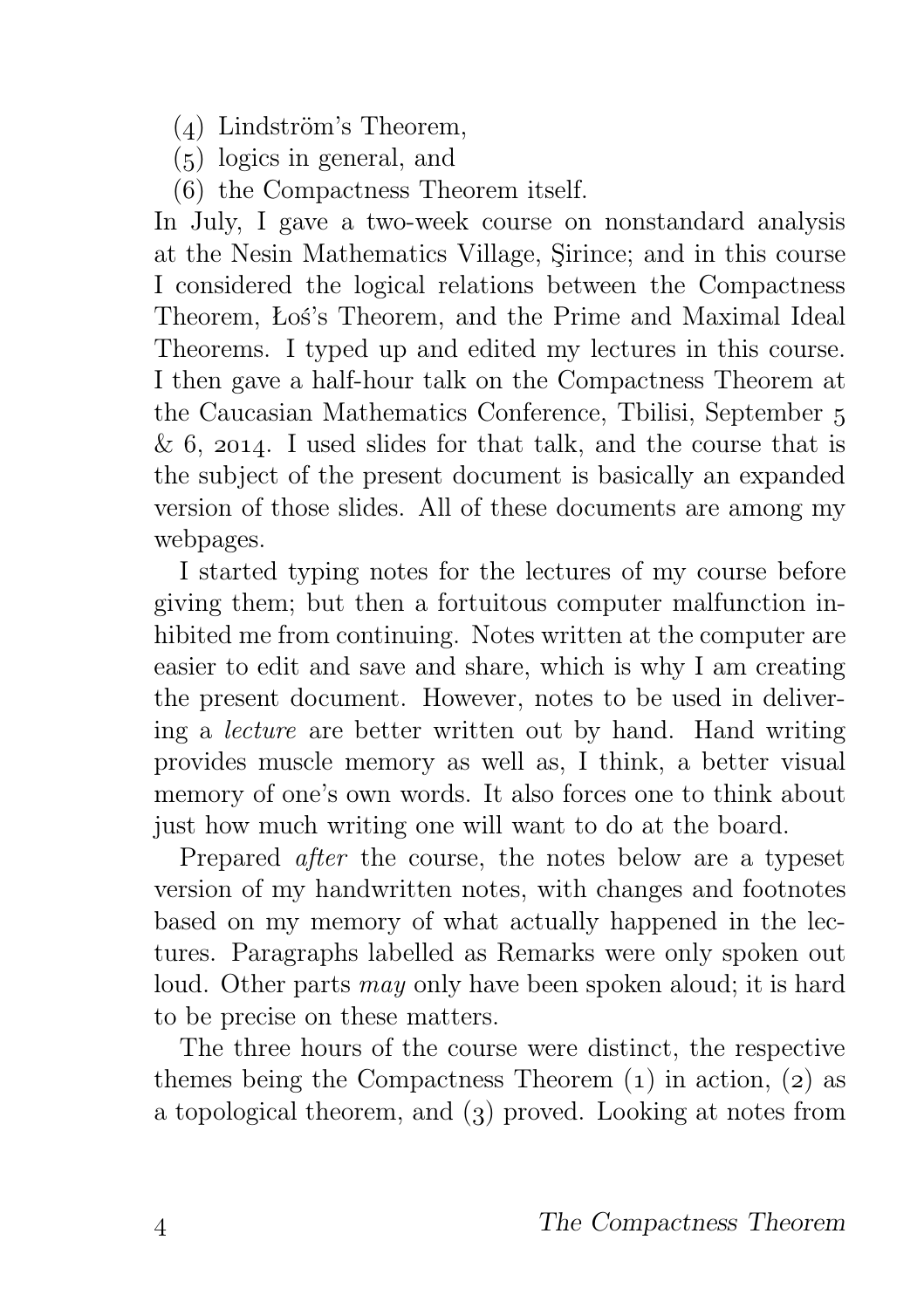- $(4)$  Lindström's Theorem,
- $(5)$  logics in general, and
- () the Compactness Theorem itself.

In July, I gave a two-week course on nonstandard analysis at the Nesin Mathematics Village, Şirince; and in this course I considered the logical relations between the Compactness Theorem, Łoś's Theorem, and the Prime and Maximal Ideal Theorems. I typed up and edited my lectures in this course. I then gave a half-hour talk on the Compactness Theorem at the Caucasian Mathematics Conference, Tbilisi, September  $\& 6$ , 2014. I used slides for that talk, and the course that is the subject of the present document is basically an expanded version of those slides. All of these documents are among my webpages.

I started typing notes for the lectures of my course before giving them; but then a fortuitous computer malfunction inhibited me from continuing. Notes written at the computer are easier to edit and save and share, which is why I am creating the present document. However, notes to be used in delivering a lecture are better written out by hand. Hand writing provides muscle memory as well as, I think, a better visual memory of one's own words. It also forces one to think about just how much writing one will want to do at the board.

Prepared after the course, the notes below are a typeset version of my handwritten notes, with changes and footnotes based on my memory of what actually happened in the lectures. Paragraphs labelled as Remarks were only spoken out loud. Other parts may only have been spoken aloud; it is hard to be precise on these matters.

The three hours of the course were distinct, the respective themes being the Compactness Theorem  $(1)$  in action,  $(2)$  as a topological theorem, and  $(3)$  proved. Looking at notes from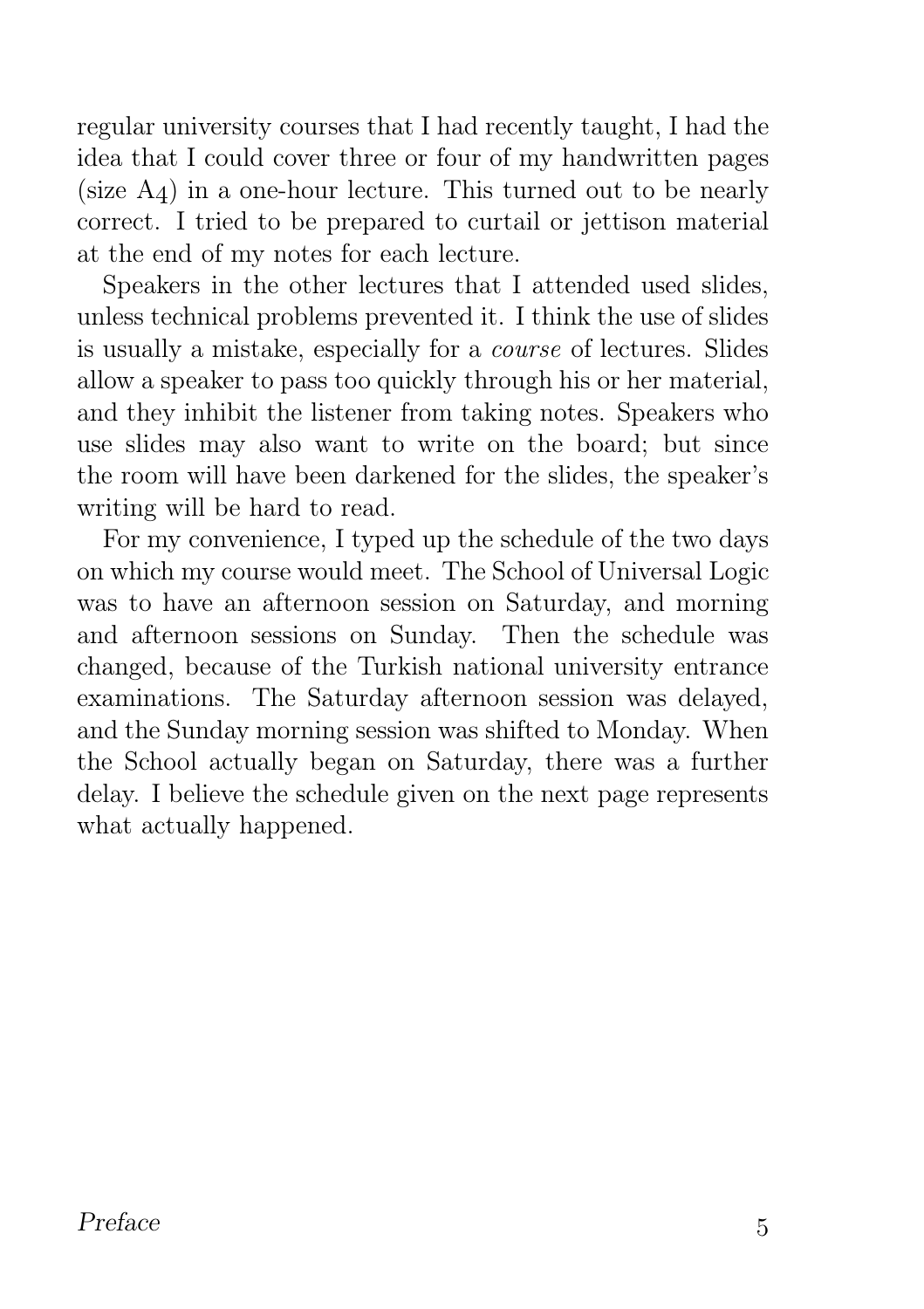regular university courses that I had recently taught, I had the idea that I could cover three or four of my handwritten pages (size  $A_4$ ) in a one-hour lecture. This turned out to be nearly correct. I tried to be prepared to curtail or jettison material at the end of my notes for each lecture.

Speakers in the other lectures that I attended used slides, unless technical problems prevented it. I think the use of slides is usually a mistake, especially for a course of lectures. Slides allow a speaker to pass too quickly through his or her material, and they inhibit the listener from taking notes. Speakers who use slides may also want to write on the board; but since the room will have been darkened for the slides, the speaker's writing will be hard to read.

For my convenience, I typed up the schedule of the two days on which my course would meet. The School of Universal Logic was to have an afternoon session on Saturday, and morning and afternoon sessions on Sunday. Then the schedule was changed, because of the Turkish national university entrance examinations. The Saturday afternoon session was delayed, and the Sunday morning session was shifted to Monday. When the School actually began on Saturday, there was a further delay. I believe the schedule given on the next page represents what actually happened.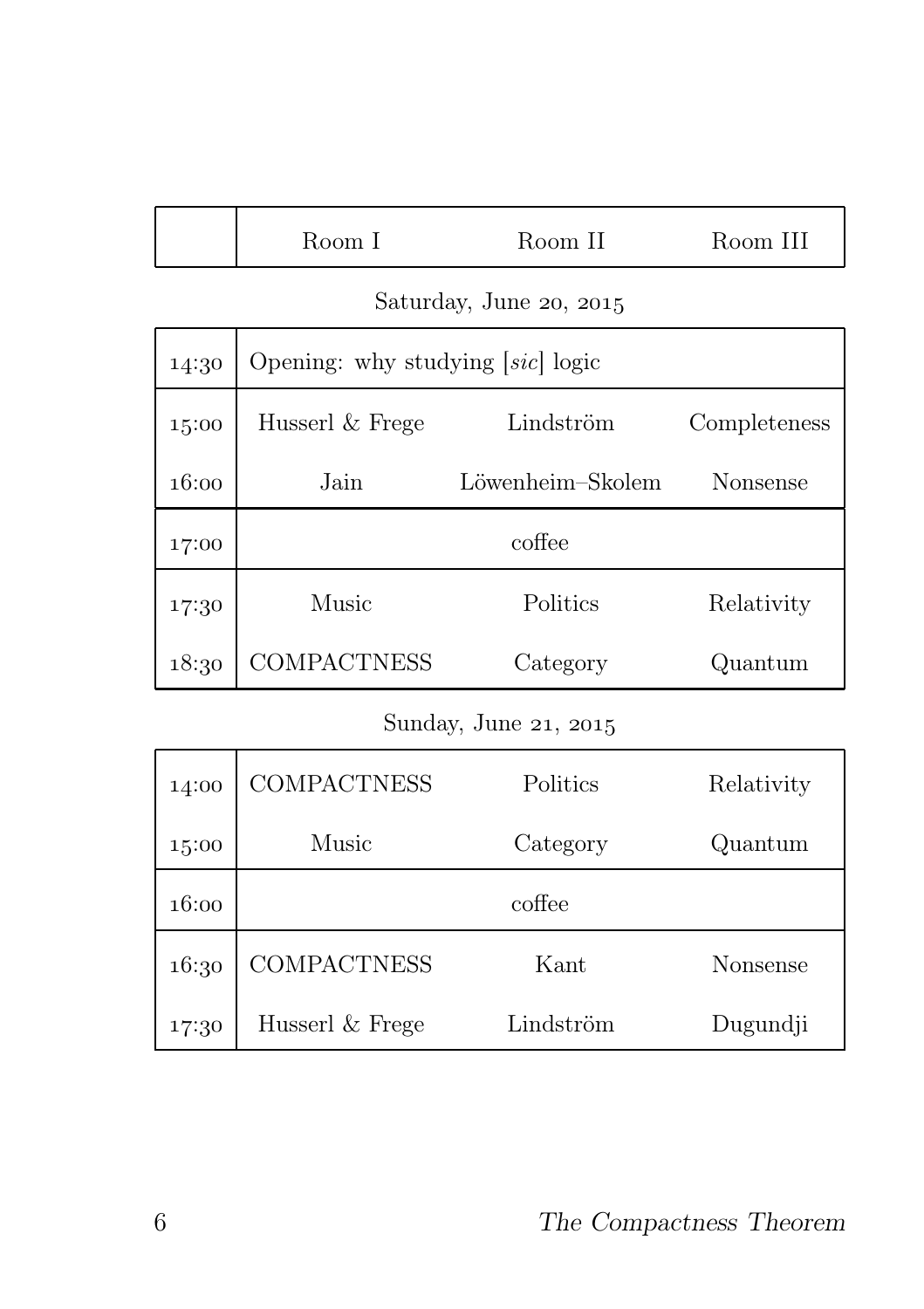| Room 11 | III  |
|---------|------|
| Room 1  | Room |

#### Saturday, June 20, 2015

| 14:30 | Opening: why studying $[sic]$ logic |                  |              |  |
|-------|-------------------------------------|------------------|--------------|--|
| 15:00 | Husserl & Frege                     | Lindström        | Completeness |  |
| 16:00 | Jain                                | Löwenheim–Skolem | Nonsense     |  |
| 17:00 | coffee                              |                  |              |  |
| 17:30 | Music                               | Politics         | Relativity   |  |
| 18:30 | COMPACTNESS                         | Category         | Quantum      |  |

### Sunday, June 21, 2015

| 14:00 | <b>COMPACTNESS</b> | Politics  | Relativity |
|-------|--------------------|-----------|------------|
| 15:00 | Music              | Category  | Quantum    |
| 16:00 |                    | coffee    |            |
| 16:30 | <b>COMPACTNESS</b> | Kant      | Nonsense   |
| 17:30 | Husserl & Frege    | Lindström | Dugundji   |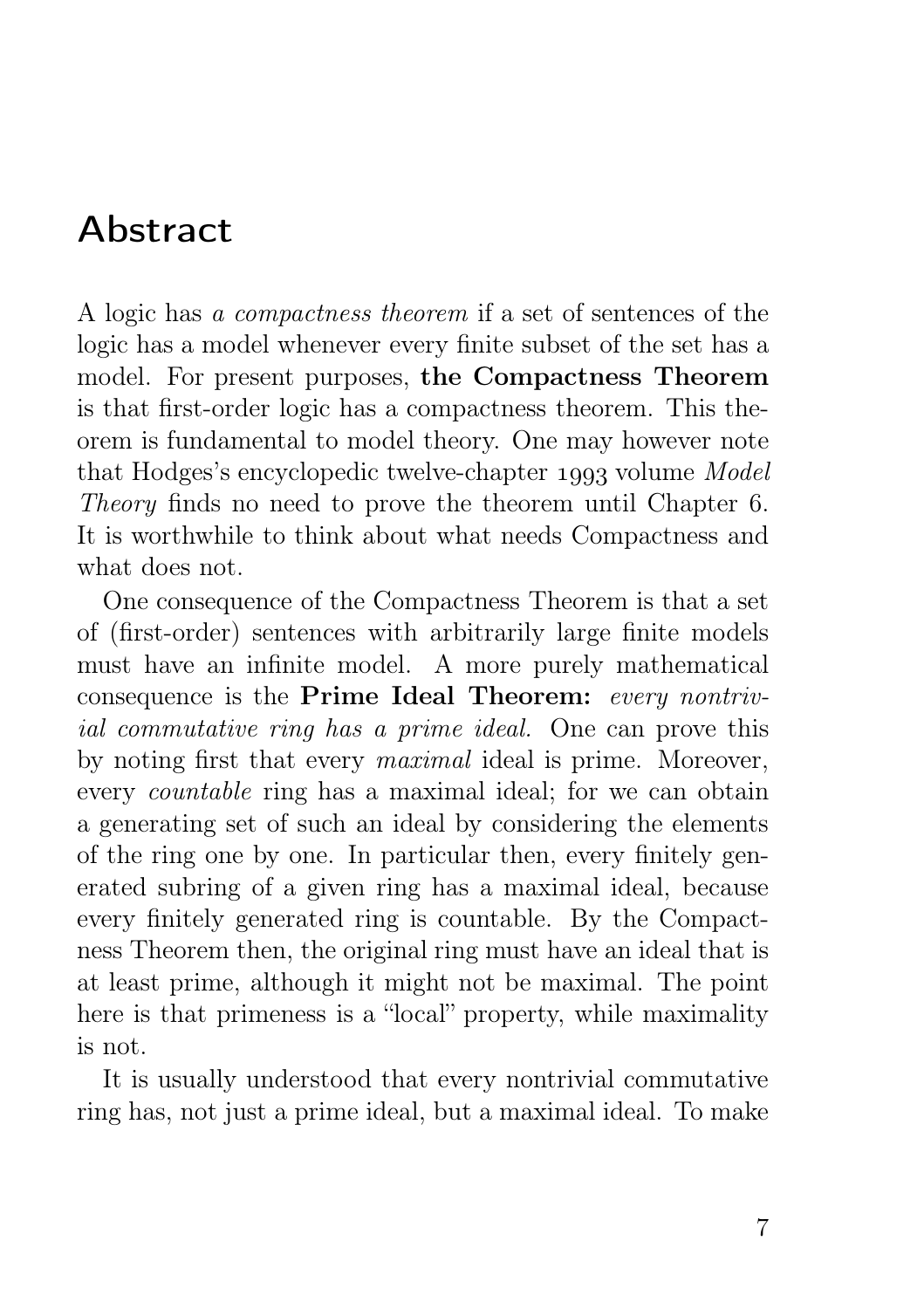# Abstract

A logic has a compactness theorem if a set of sentences of the logic has a model whenever every finite subset of the set has a model. For present purposes, the Compactness Theorem is that first-order logic has a compactness theorem. This theorem is fundamental to model theory. One may however note that Hodges's encyclopedic twelve-chapter 1993 volume Model Theory finds no need to prove the theorem until Chapter 6. It is worthwhile to think about what needs Compactness and what does not.

One consequence of the Compactness Theorem is that a set of (first-order) sentences with arbitrarily large finite models must have an infinite model. A more purely mathematical consequence is the Prime Ideal Theorem: every nontrivial commutative ring has a prime ideal. One can prove this by noting first that every maximal ideal is prime. Moreover, every countable ring has a maximal ideal; for we can obtain a generating set of such an ideal by considering the elements of the ring one by one. In particular then, every finitely generated subring of a given ring has a maximal ideal, because every finitely generated ring is countable. By the Compactness Theorem then, the original ring must have an ideal that is at least prime, although it might not be maximal. The point here is that primeness is a "local" property, while maximality is not.

It is usually understood that every nontrivial commutative ring has, not just a prime ideal, but a maximal ideal. To make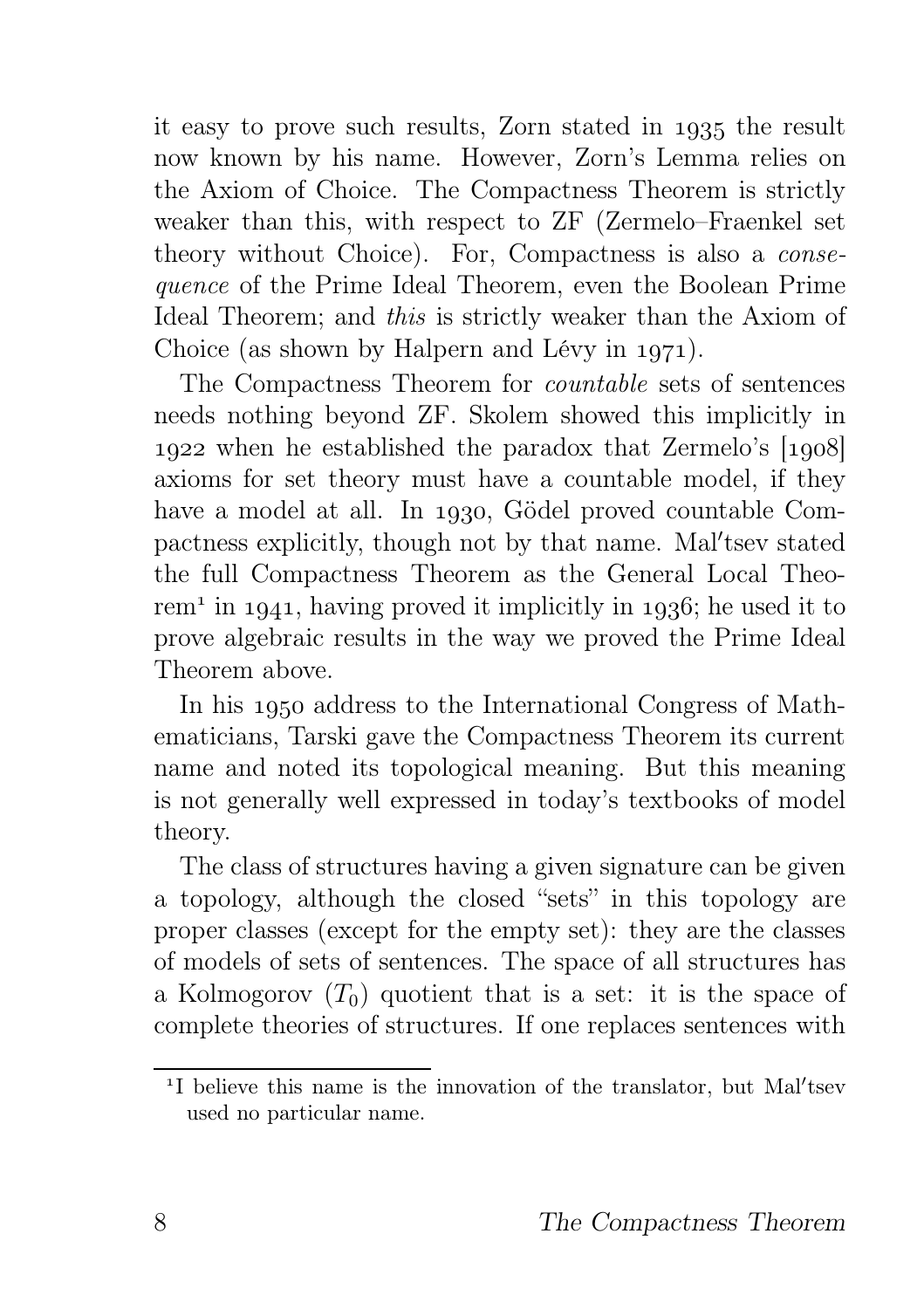it easy to prove such results, Zorn stated in 1935 the result now known by his name. However, Zorn's Lemma relies on the Axiom of Choice. The Compactness Theorem is strictly weaker than this, with respect to ZF (Zermelo–Fraenkel set theory without Choice). For, Compactness is also a consequence of the Prime Ideal Theorem, even the Boolean Prime Ideal Theorem; and this is strictly weaker than the Axiom of Choice (as shown by Halpern and Lévy in  $1971$ ).

The Compactness Theorem for countable sets of sentences needs nothing beyond ZF. Skolem showed this implicitly in 1922 when he established the paradox that Zermelo's [1908] axioms for set theory must have a countable model, if they have a model at all. In 1930, Gödel proved countable Compactness explicitly, though not by that name. Mal'tsev stated the full Compactness Theorem as the General Local Theorem<sup>1</sup> in 1941, having proved it implicitly in 1936; he used it to prove algebraic results in the way we proved the Prime Ideal Theorem above.

In his 1950 address to the International Congress of Mathematicians, Tarski gave the Compactness Theorem its current name and noted its topological meaning. But this meaning is not generally well expressed in today's textbooks of model theory.

The class of structures having a given signature can be given a topology, although the closed "sets" in this topology are proper classes (except for the empty set): they are the classes of models of sets of sentences. The space of all structures has a Kolmogorov  $(T_0)$  quotient that is a set: it is the space of complete theories of structures. If one replaces sentences with

<sup>&</sup>lt;sup>1</sup>I believe this name is the innovation of the translator, but Mal'tsev used no particular name.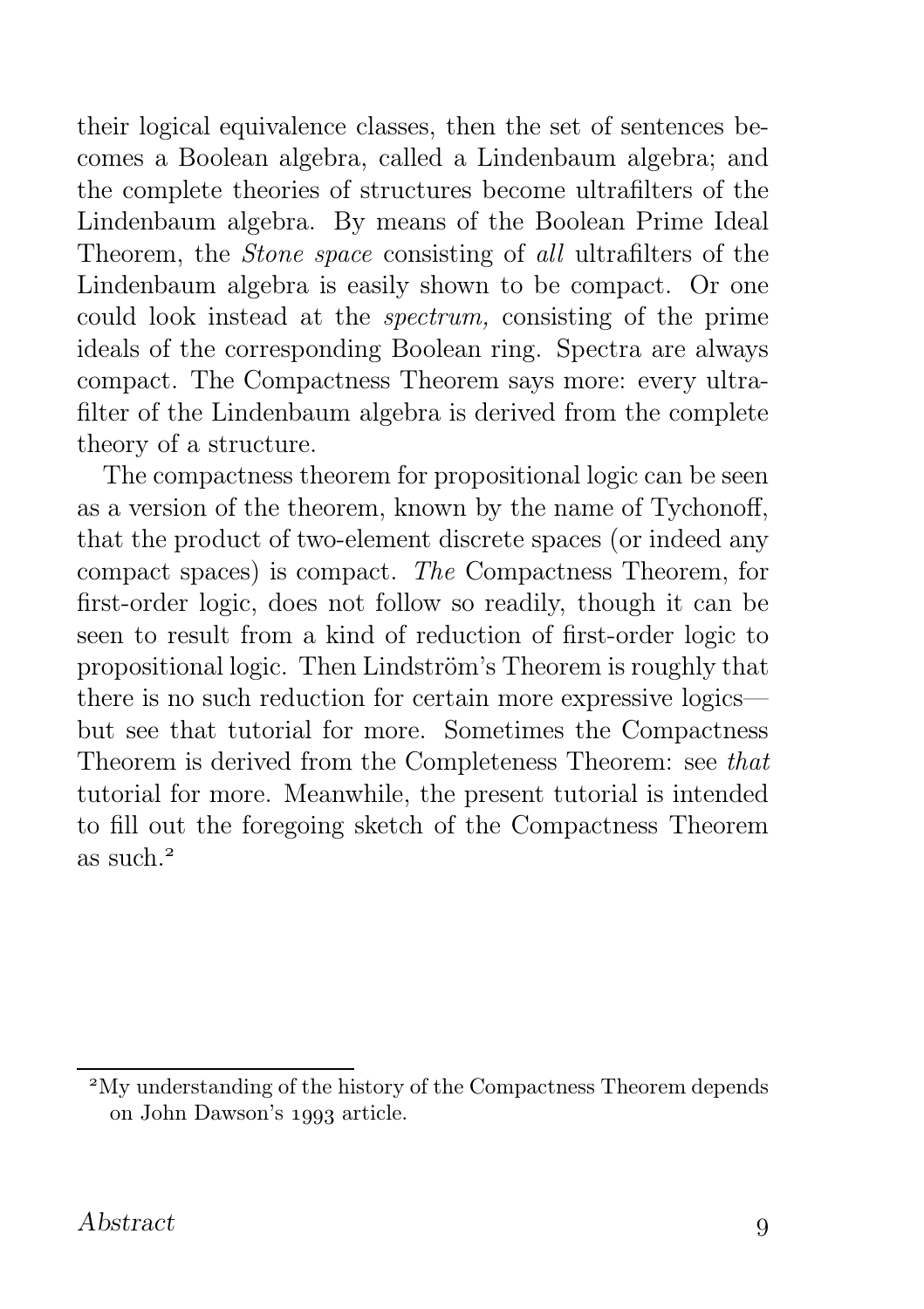their logical equivalence classes, then the set of sentences becomes a Boolean algebra, called a Lindenbaum algebra; and the complete theories of structures become ultrafilters of the Lindenbaum algebra. By means of the Boolean Prime Ideal Theorem, the Stone space consisting of all ultrafilters of the Lindenbaum algebra is easily shown to be compact. Or one could look instead at the spectrum, consisting of the prime ideals of the corresponding Boolean ring. Spectra are always compact. The Compactness Theorem says more: every ultrafilter of the Lindenbaum algebra is derived from the complete theory of a structure.

The compactness theorem for propositional logic can be seen as a version of the theorem, known by the name of Tychonoff, that the product of two-element discrete spaces (or indeed any compact spaces) is compact. The Compactness Theorem, for first-order logic, does not follow so readily, though it can be seen to result from a kind of reduction of first-order logic to propositional logic. Then Lindström's Theorem is roughly that there is no such reduction for certain more expressive logics but see that tutorial for more. Sometimes the Compactness Theorem is derived from the Completeness Theorem: see that tutorial for more. Meanwhile, the present tutorial is intended to fill out the foregoing sketch of the Compactness Theorem as such.

My understanding of the history of the Compactness Theorem depends on John Dawson's 1993 article.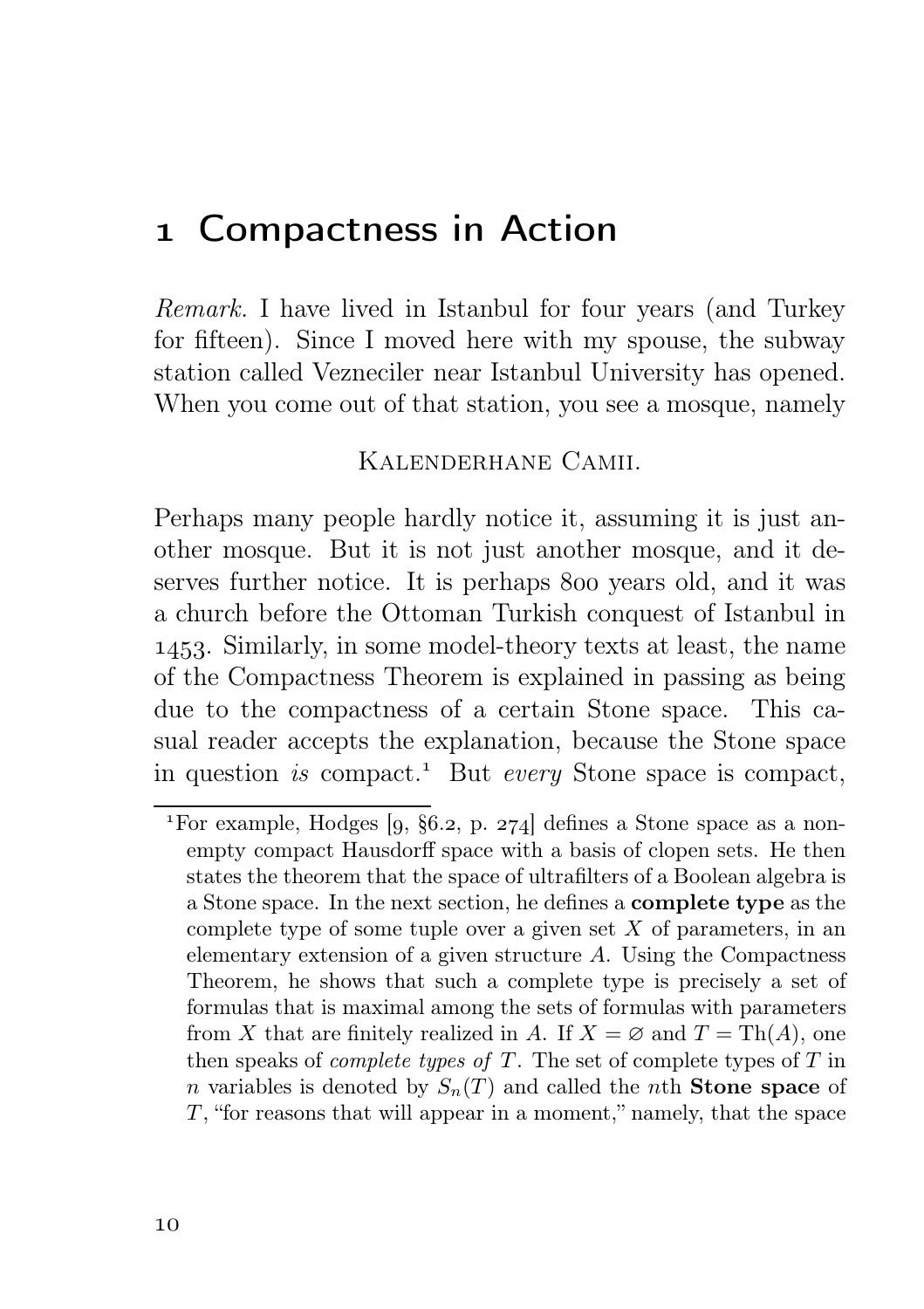### Compactness in Action

Remark. I have lived in Istanbul for four years (and Turkey for fifteen). Since I moved here with my spouse, the subway station called Vezneciler near Istanbul University has opened. When you come out of that station, you see a mosque, namely

#### Kalenderhane Camii.

Perhaps many people hardly notice it, assuming it is just another mosque. But it is not just another mosque, and it deserves further notice. It is perhaps 800 years old, and it was a church before the Ottoman Turkish conquest of Istanbul in . Similarly, in some model-theory texts at least, the name of the Compactness Theorem is explained in passing as being due to the compactness of a certain Stone space. This casual reader accepts the explanation, because the Stone space in question is compact.<sup>1</sup> But every Stone space is compact,

<sup>&</sup>lt;sup>1</sup>For example, Hodges  $[9, §6.2, p. 274]$  defines a Stone space as a nonempty compact Hausdorff space with a basis of clopen sets. He then states the theorem that the space of ultrafilters of a Boolean algebra is a Stone space. In the next section, he defines a complete type as the complete type of some tuple over a given set  $X$  of parameters, in an elementary extension of a given structure A. Using the Compactness Theorem, he shows that such a complete type is precisely a set of formulas that is maximal among the sets of formulas with parameters from X that are finitely realized in A. If  $X = \emptyset$  and  $T = \text{Th}(A)$ , one then speaks of *complete types of T*. The set of complete types of T in n variables is denoted by  $S_n(T)$  and called the nth **Stone space** of  $T$ , "for reasons that will appear in a moment," namely, that the space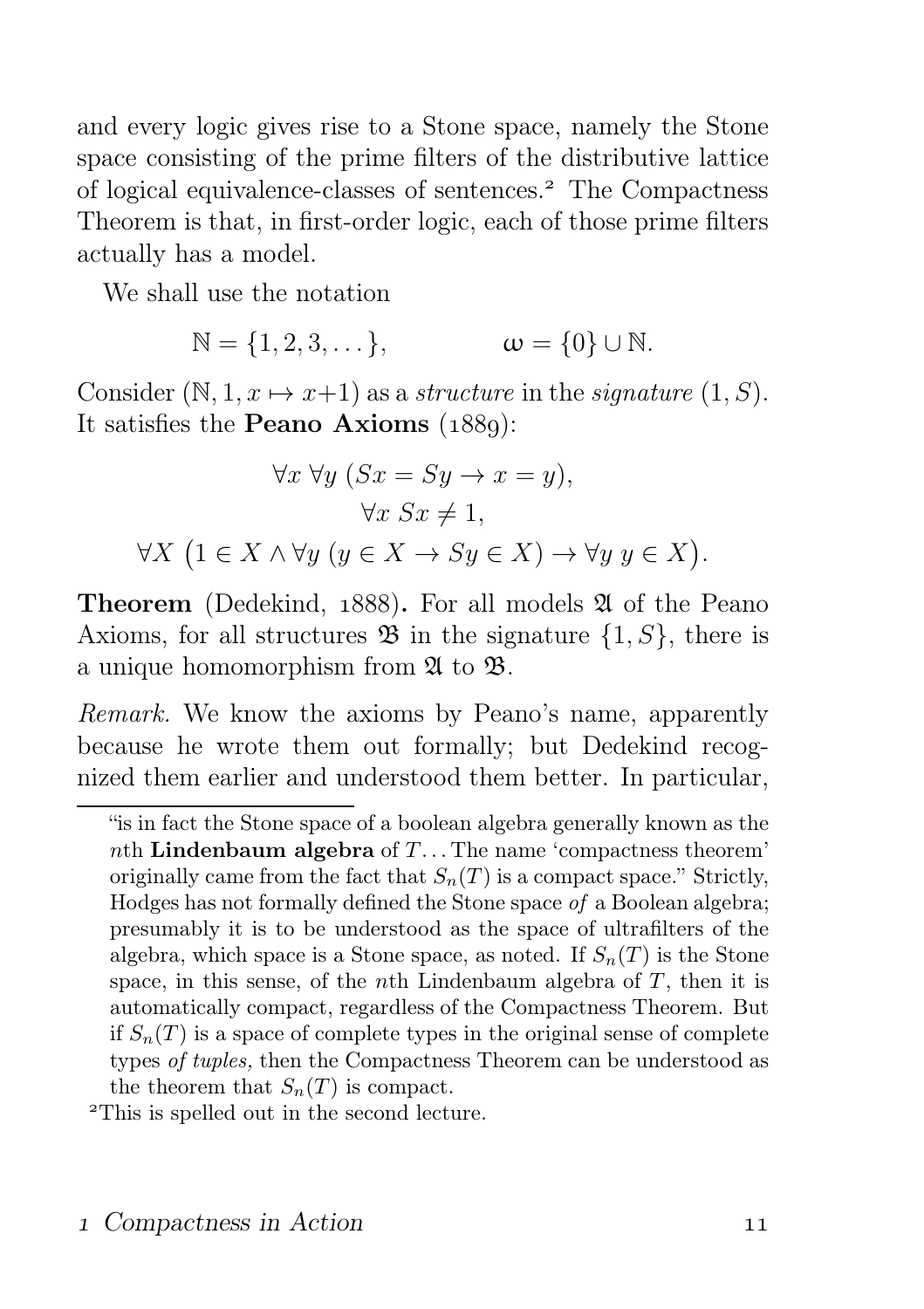and every logic gives rise to a Stone space, namely the Stone space consisting of the prime filters of the distributive lattice of logical equivalence-classes of sentences. The Compactness Theorem is that, in first-order logic, each of those prime filters actually has a model.

We shall use the notation

$$
\mathbb{N} = \{1, 2, 3, \dots\}, \qquad \qquad \omega = \{0\} \cup \mathbb{N}.
$$

Consider  $(N, 1, x \mapsto x+1)$  as a structure in the signature  $(1, S)$ . It satisfies the **Peano Axioms**  $(1889)$ :

$$
\forall x \forall y (Sx = Sy \rightarrow x = y),
$$

$$
\forall x Sx \neq 1,
$$

$$
\forall X (1 \in X \land \forall y (y \in X \rightarrow Sy \in X) \rightarrow \forall y y \in X)
$$

**Theorem** (Dedekind,  $1888$ ). For all models  $\mathfrak A$  of the Peano Axioms, for all structures  $\mathfrak{B}$  in the signature  $\{1, S\}$ , there is a unique homomorphism from  $\mathfrak A$  to  $\mathfrak B$ .

Remark. We know the axioms by Peano's name, apparently because he wrote them out formally; but Dedekind recognized them earlier and understood them better. In particular,

.

<sup>&</sup>quot;is in fact the Stone space of a boolean algebra generally known as the nth Lindenbaum algebra of  $T$ ... The name 'compactness theorem' originally came from the fact that  $S_n(T)$  is a compact space." Strictly, Hodges has not formally defined the Stone space of a Boolean algebra; presumably it is to be understood as the space of ultrafilters of the algebra, which space is a Stone space, as noted. If  $S_n(T)$  is the Stone space, in this sense, of the *n*th Lindenbaum algebra of  $T$ , then it is automatically compact, regardless of the Compactness Theorem. But if  $S_n(T)$  is a space of complete types in the original sense of complete types of tuples, then the Compactness Theorem can be understood as the theorem that  $S_n(T)$  is compact.

This is spelled out in the second lecture.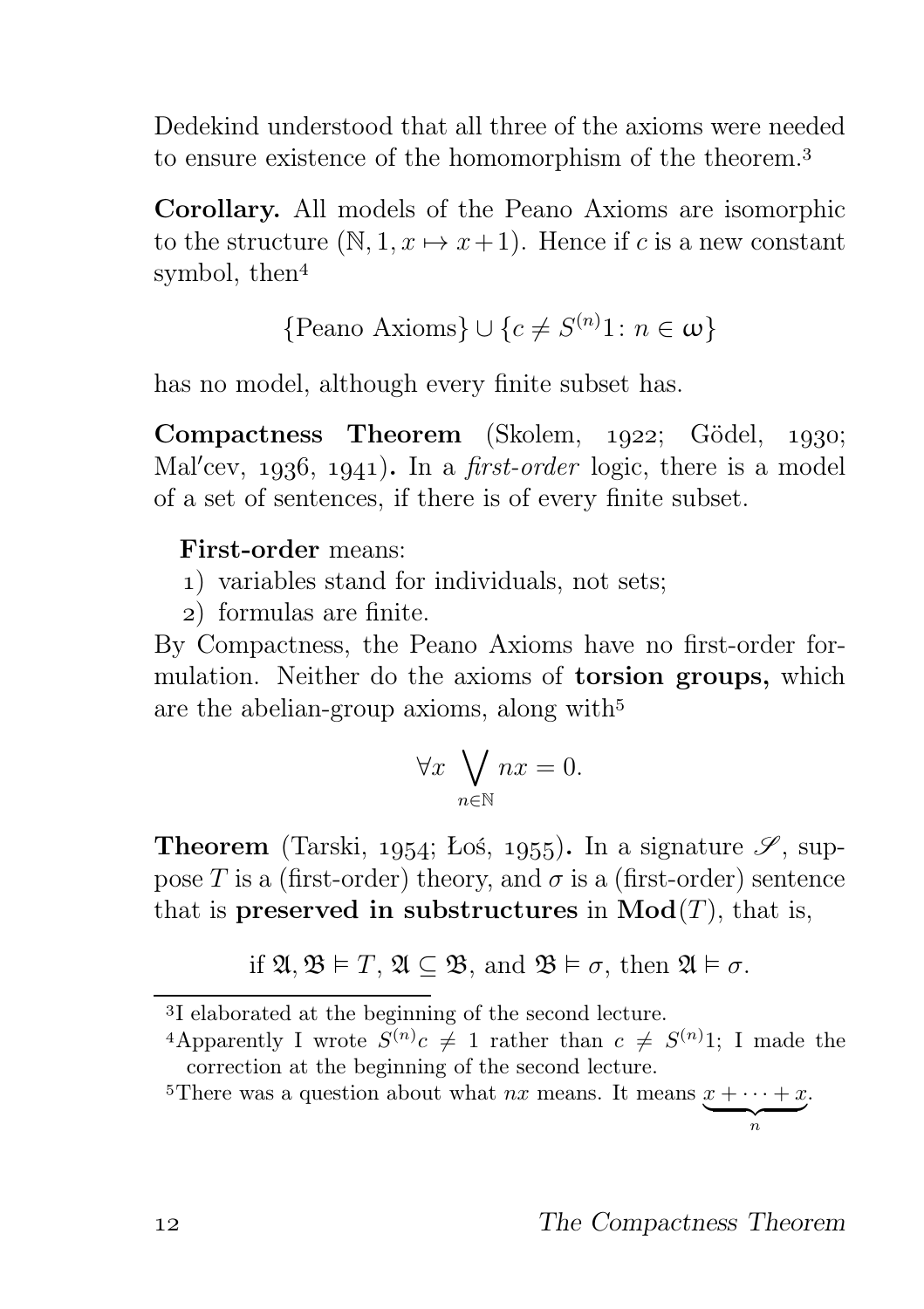Dedekind understood that all three of the axioms were needed to ensure existence of the homomorphism of the theorem.

Corollary. All models of the Peano Axioms are isomorphic to the structure  $(N, 1, x \mapsto x+1)$ . Hence if c is a new constant symbol, then

{Peano Axioms}  $\cup \{c \neq S^{(n)}1 : n \in \omega\}$ 

has no model, although every finite subset has.

Compactness Theorem (Skolem, 1922; Gödel, 1930; Mal'cev, 1936, 1941). In a *first-order* logic, there is a model of a set of sentences, if there is of every finite subset.

#### First-order means:

- ) variables stand for individuals, not sets;
- ) formulas are finite.

By Compactness, the Peano Axioms have no first-order formulation. Neither do the axioms of torsion groups, which are the abelian-group axioms, along with

$$
\forall x \ \bigvee_{n \in \mathbb{N}} nx = 0.
$$

**Theorem** (Tarski, 1954; Łoś, 1955). In a signature  $\mathscr{S}$ , suppose T is a (first-order) theory, and  $\sigma$  is a (first-order) sentence that is preserved in substructures in  $Mod(T)$ , that is,

if 
$$
\mathfrak{A}, \mathfrak{B} \models T, \mathfrak{A} \subseteq \mathfrak{B}
$$
, and  $\mathfrak{B} \models \sigma$ , then  $\mathfrak{A} \models \sigma$ .

<sup>&</sup>lt;sup>3</sup>I elaborated at the beginning of the second lecture.

<sup>&</sup>lt;sup>4</sup>Apparently I wrote  $S^{(n)}c \neq 1$  rather than  $c \neq S^{(n)}1$ ; I made the correction at the beginning of the second lecture.

<sup>&</sup>lt;sup>5</sup>There was a question about what *nx* means. It means  $x + \cdots + x$  $\overbrace{\hspace{2.5cm}}^{n}$ .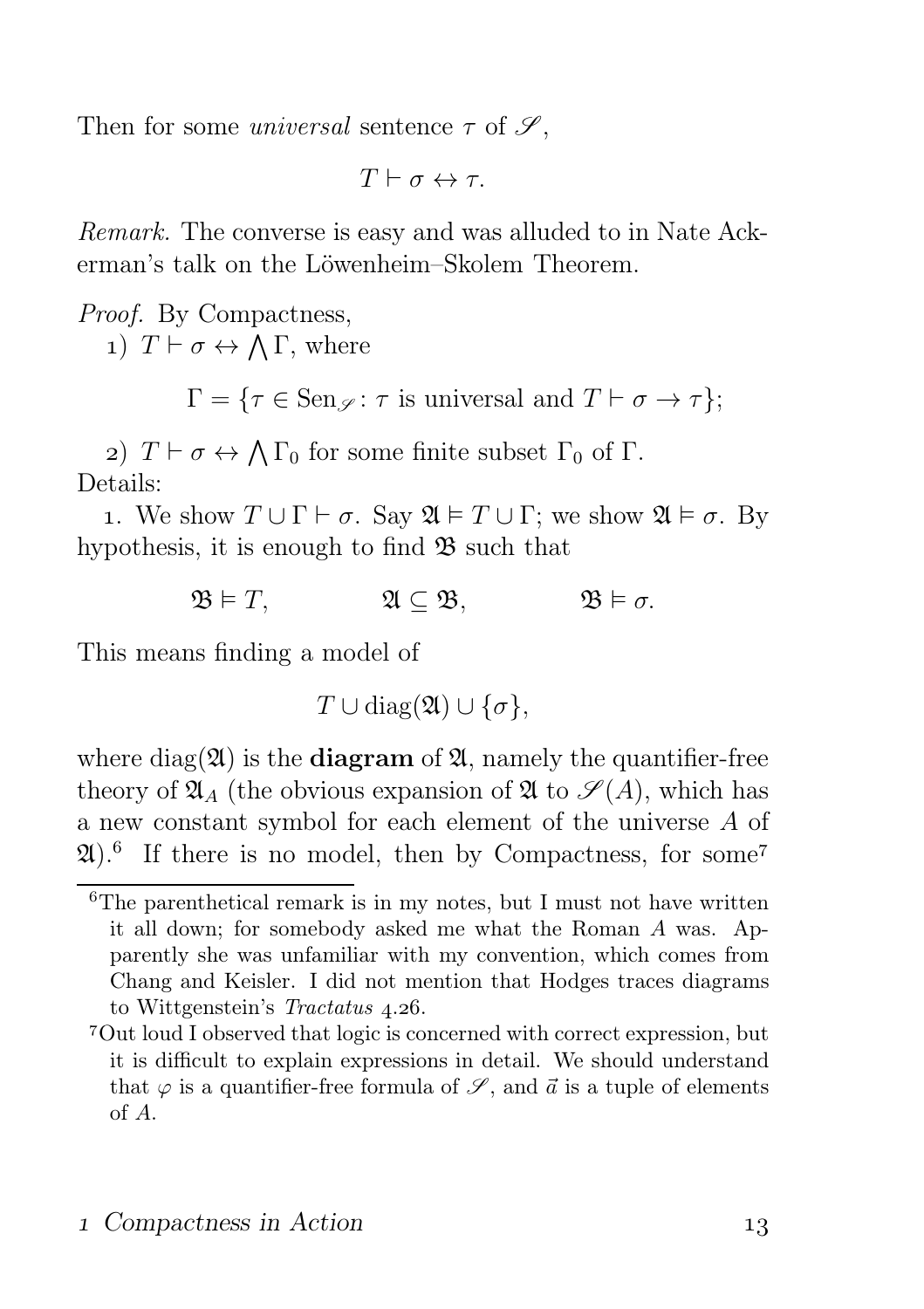Then for some *universal* sentence  $\tau$  of  $\mathscr{S}$ ,

 $T \vdash \sigma \leftrightarrow \tau$ .

Remark. The converse is easy and was alluded to in Nate Ackerman's talk on the Löwenheim–Skolem Theorem.

Proof. By Compactness, 1)  $T \vdash \sigma \leftrightarrow \bigwedge \Gamma$ , where

 $\Gamma = \{ \tau \in \text{Sen}_{\mathscr{S}} \colon \tau \text{ is universal and } T \vdash \sigma \to \tau \};$ 

2)  $T \vdash \sigma \leftrightarrow \bigwedge \Gamma_0$  for some finite subset  $\Gamma_0$  of  $\Gamma$ . Details:

1. We show  $T \cup \Gamma \vdash \sigma$ . Say  $\mathfrak{A} \models T \cup \Gamma$ ; we show  $\mathfrak{A} \models \sigma$ . By hypothesis, it is enough to find  $\mathfrak{B}$  such that

 $\mathfrak{B} \models T$ ,  $\mathfrak{A} \subset \mathfrak{B}$ ,  $\mathfrak{B} \models \sigma$ .

This means finding a model of

 $T \cup diag(\mathfrak{A}) \cup {\sigma},$ 

where diag( $\mathfrak{A}$ ) is the **diagram** of  $\mathfrak{A}$ , namely the quantifier-free theory of  $\mathfrak{A}_A$  (the obvious expansion of  $\mathfrak A$  to  $\mathscr S(A)$ , which has a new constant symbol for each element of the universe A of  $(2l)$ .<sup>6</sup> If there is no model, then by Compactness, for some<sup>7</sup>

 ${}^{6}$ The parenthetical remark is in my notes, but I must not have written it all down; for somebody asked me what the Roman A was. Apparently she was unfamiliar with my convention, which comes from Chang and Keisler. I did not mention that Hodges traces diagrams to Wittgenstein's Tractatus 4.26.

Out loud I observed that logic is concerned with correct expression, but it is difficult to explain expressions in detail. We should understand that  $\varphi$  is a quantifier-free formula of  $\mathscr{S}$ , and  $\vec{a}$  is a tuple of elements of A.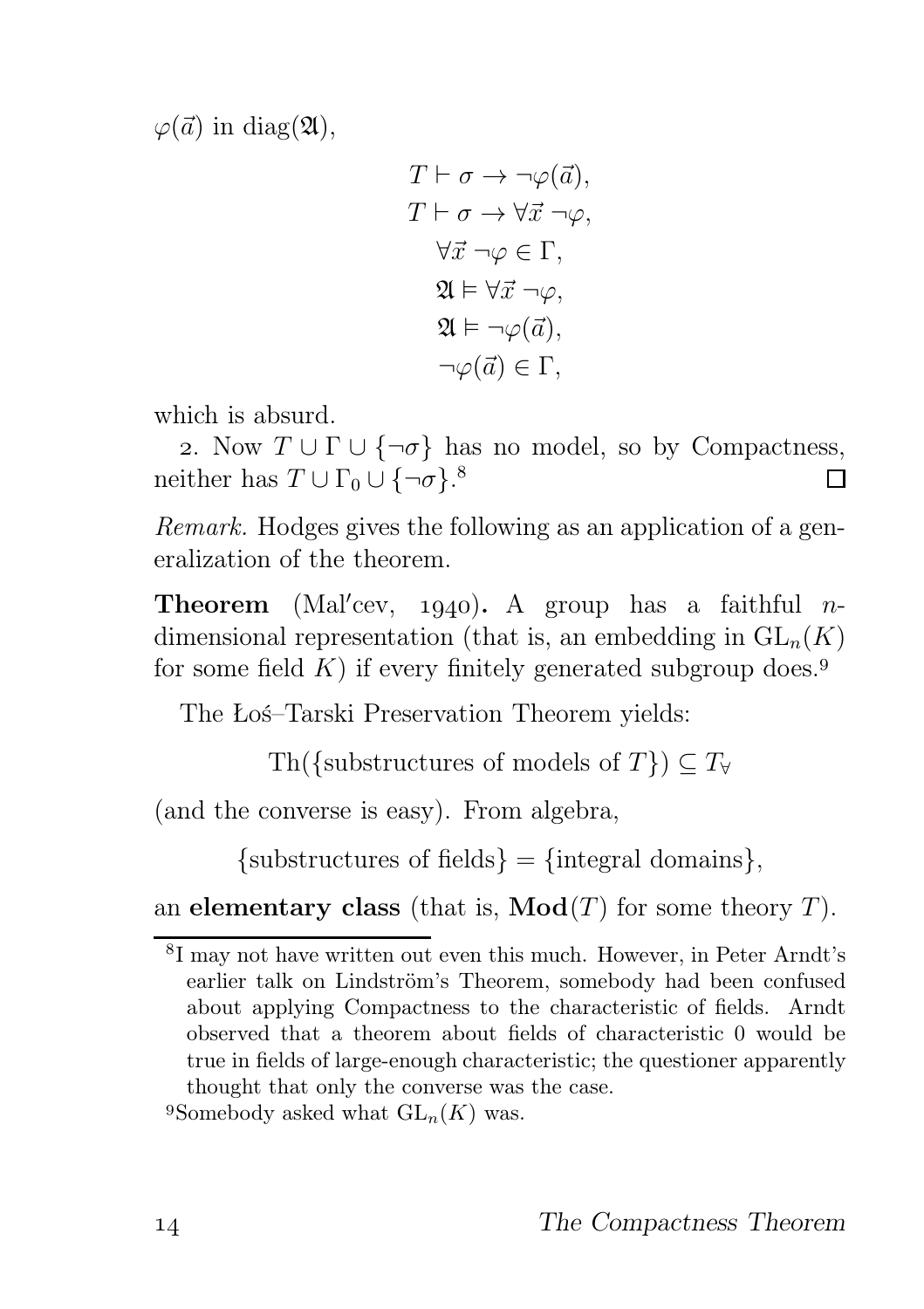$\varphi(\vec{a})$  in diag(21),

$$
T \vdash \sigma \to \neg \varphi(\vec{a}),
$$
  
\n
$$
T \vdash \sigma \to \forall \vec{x} \neg \varphi,
$$
  
\n
$$
\forall \vec{x} \neg \varphi \in \Gamma,
$$
  
\n
$$
\mathfrak{A} \models \forall \vec{x} \neg \varphi,
$$
  
\n
$$
\mathfrak{A} \models \neg \varphi(\vec{a}),
$$
  
\n
$$
\neg \varphi(\vec{a}) \in \Gamma,
$$

which is absurd.

2. Now  $T \cup \Gamma \cup \{\neg \sigma\}$  has no model, so by Compactness, neither has  $T \cup \Gamma_0 \cup \{\neg \sigma\}$ .<sup>8</sup> П

Remark. Hodges gives the following as an application of a generalization of the theorem.

**Theorem** (Mal'cev, 1940). A group has a faithful  $n$ dimensional representation (that is, an embedding in  $GL_n(K)$ ) for some field  $K$ ) if every finitely generated subgroup does.<sup>9</sup>

The Łoś–Tarski Preservation Theorem yields:

Th({substructures of models of  $T\}) \subseteq T_{\forall}$ 

(and the converse is easy). From algebra,

 $\{\text{substructures of fields}\} = \{\text{integral domains}\},\$ 

an elementary class (that is,  $\mathbf{Mod}(T)$  for some theory T).

<sup>&</sup>lt;sup>8</sup>I may not have written out even this much. However, in Peter Arndt's earlier talk on Lindström's Theorem, somebody had been confused about applying Compactness to the characteristic of fields. Arndt observed that a theorem about fields of characteristic 0 would be true in fields of large-enough characteristic; the questioner apparently thought that only the converse was the case.

<sup>&</sup>lt;sup>9</sup>Somebody asked what  $GL_n(K)$  was.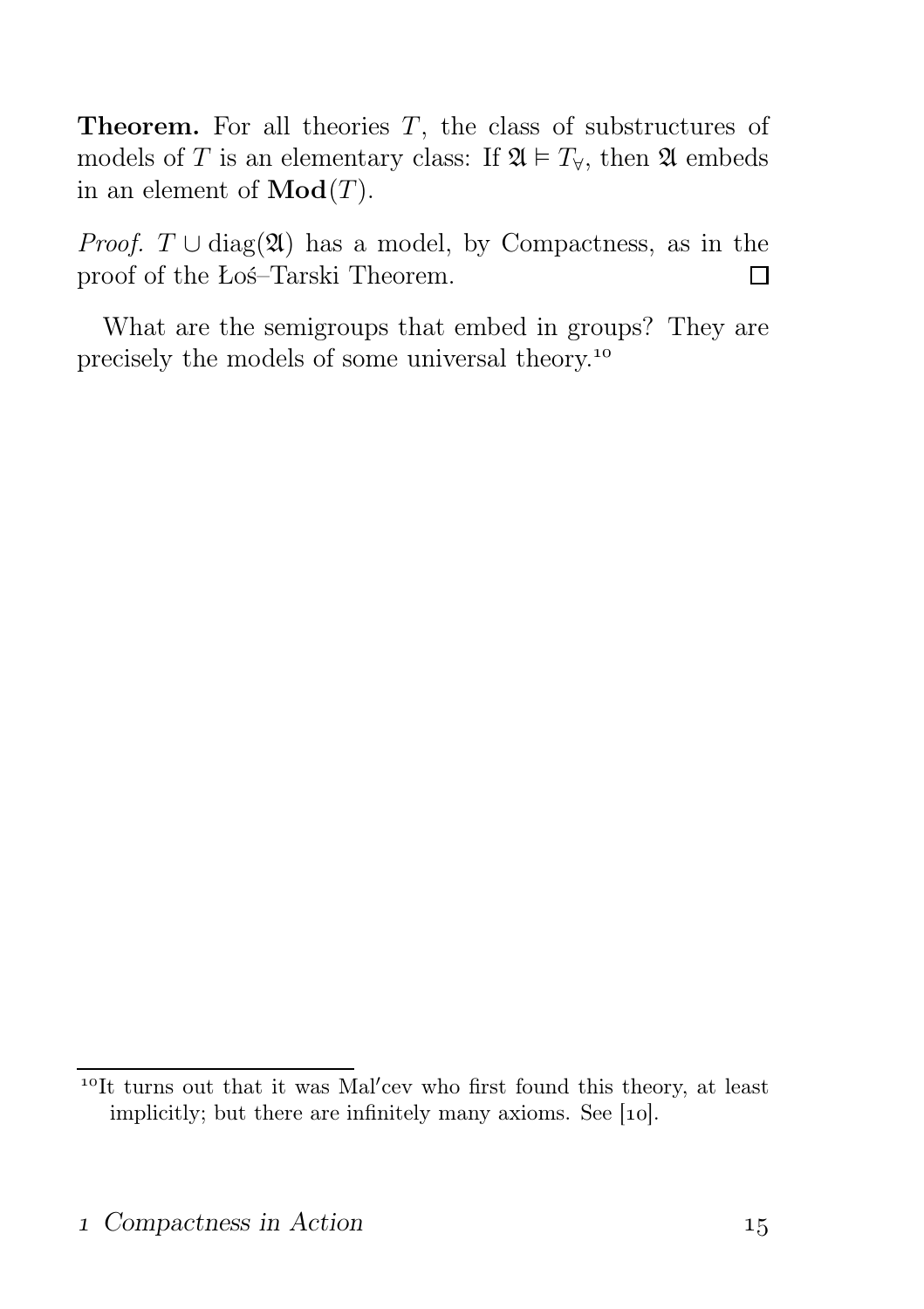**Theorem.** For all theories  $T$ , the class of substructures of models of T is an elementary class: If  $\mathfrak{A} \models T_{\forall}$ , then  $\mathfrak{A}$  embeds in an element of  $\mathbf{Mod}(T)$ .

*Proof.*  $T \cup diag(\mathfrak{A})$  has a model, by Compactness, as in the proof of the Łoś–Tarski Theorem.  $\Box$ 

What are the semigroups that embed in groups? They are precisely the models of some universal theory.

<sup>&</sup>lt;sup>10</sup>It turns out that it was Mal'cev who first found this theory, at least implicitly; but there are infinitely many axioms. See  $[10]$ .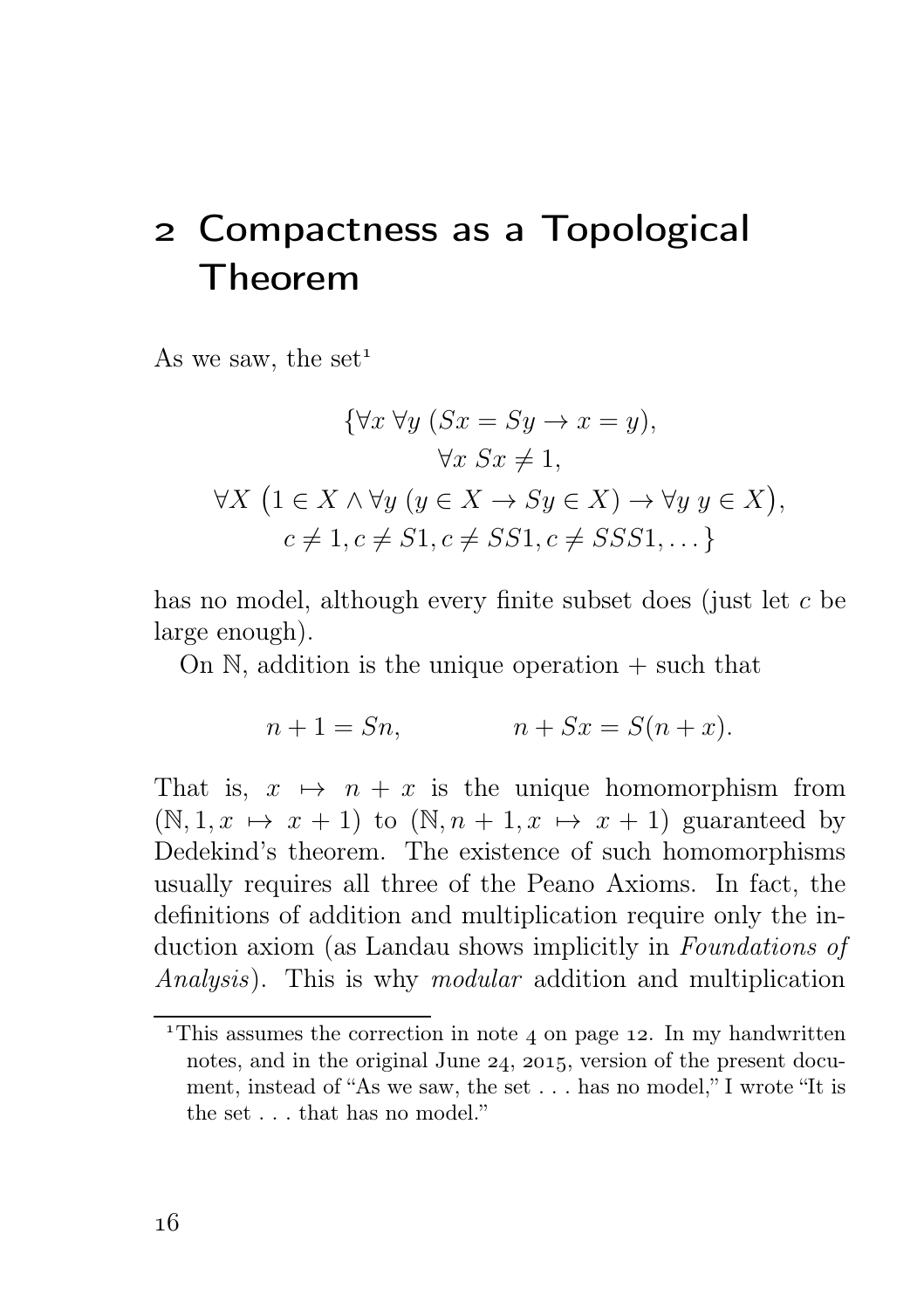# Compactness as a Topological Theorem

As we saw, the set<sup>1</sup>

$$
\{\forall x \; \forall y \; (Sx = Sy \rightarrow x = y),
$$

$$
\forall x \; Sx \neq 1,
$$

$$
\forall X \; (1 \in X \land \forall y \; (y \in X \rightarrow Sy \in X) \rightarrow \forall y \; y \in X),
$$

$$
c \neq 1, c \neq S1, c \neq SS1, c \neq SSS1, \dots\}
$$

has no model, although every finite subset does (just let c be large enough).

On  $\mathbb N$ , addition is the unique operation  $+$  such that

$$
n + 1 = Sn,
$$
  

$$
n + Sx = S(n + x).
$$

That is,  $x \mapsto n + x$  is the unique homomorphism from  $(N, 1, x \mapsto x + 1)$  to  $(N, n + 1, x \mapsto x + 1)$  guaranteed by Dedekind's theorem. The existence of such homomorphisms usually requires all three of the Peano Axioms. In fact, the definitions of addition and multiplication require only the induction axiom (as Landau shows implicitly in Foundations of Analysis). This is why modular addition and multiplication

<sup>&</sup>lt;sup>1</sup>This assumes the correction in note 4 on page 12. In my handwritten notes, and in the original June  $24$ ,  $2015$ , version of the present document, instead of "As we saw, the set . . . has no model," I wrote "It is the set . . . that has no model."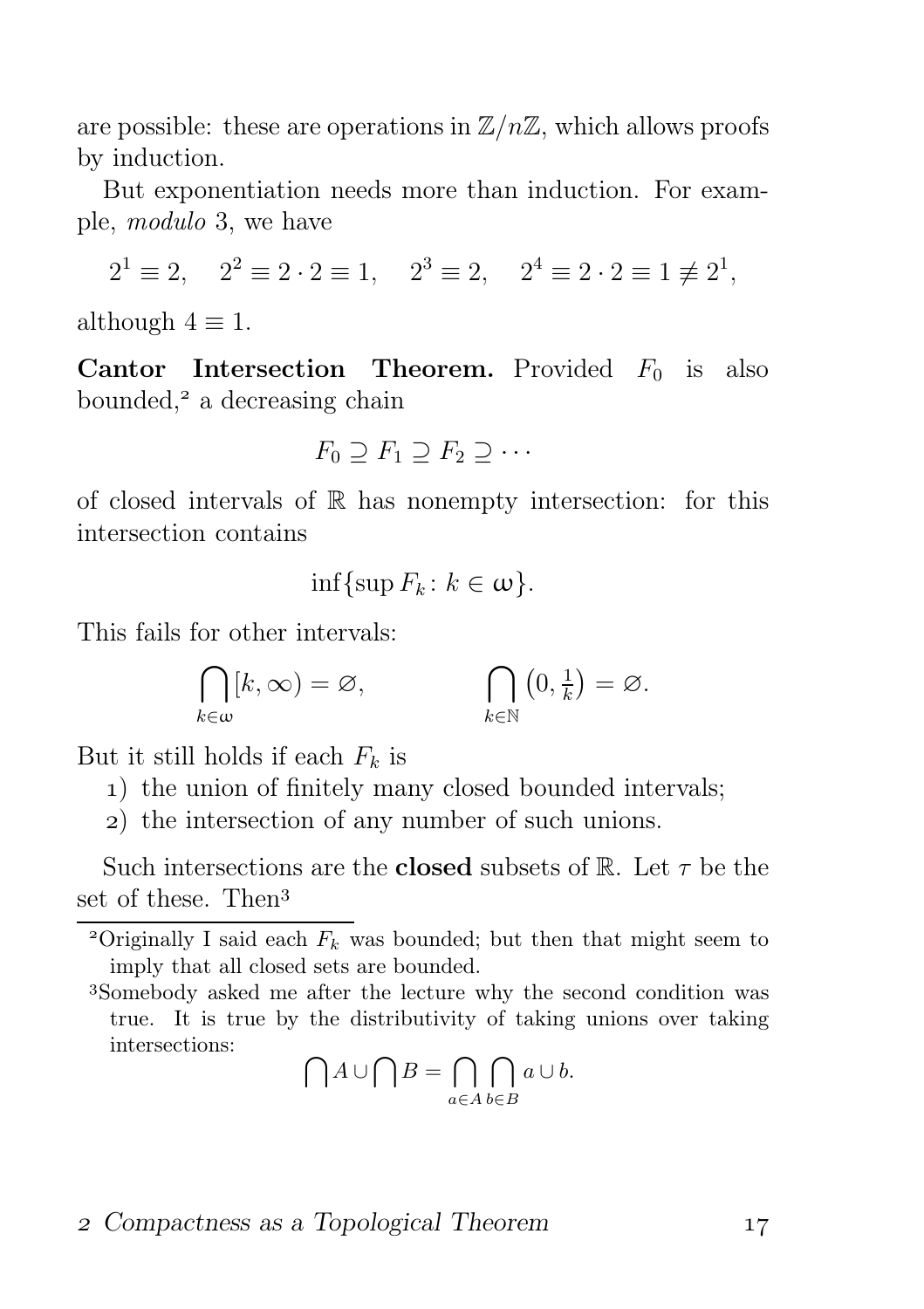are possible: these are operations in  $\mathbb{Z}/n\mathbb{Z}$ , which allows proofs by induction.

But exponentiation needs more than induction. For example, modulo 3, we have

$$
2^1 \equiv 2
$$
,  $2^2 \equiv 2 \cdot 2 \equiv 1$ ,  $2^3 \equiv 2$ ,  $2^4 \equiv 2 \cdot 2 \equiv 1 \not\equiv 2^1$ ,

although  $4 \equiv 1$ .

**Cantor Intersection Theorem.** Provided  $F_0$  is also bounded, $2$  a decreasing chain

$$
F_0 \supseteq F_1 \supseteq F_2 \supseteq \cdots
$$

of closed intervals of  $\mathbb R$  has nonempty intersection: for this intersection contains

$$
\inf\{\sup F_k\colon k\in\omega\}.
$$

This fails for other intervals:

$$
\bigcap_{k\in\omega}[k,\infty)=\varnothing,\qquad\qquad \bigcap_{k\in\mathbb{N}}\left(0,\tfrac{1}{k}\right)=\varnothing.
$$

But it still holds if each  $F_k$  is

) the union of finitely many closed bounded intervals;

) the intersection of any number of such unions.

Such intersections are the **closed** subsets of R. Let  $\tau$  be the set of these. Then

Somebody asked me after the lecture why the second condition was true. It is true by the distributivity of taking unions over taking intersections:

$$
\bigcap A \cup \bigcap B = \bigcap_{a \in A} \bigcap_{b \in B} a \cup b.
$$

#### 2 Compactness as a Topological Theorem 17

<sup>&</sup>lt;sup>2</sup>Originally I said each  $F_k$  was bounded; but then that might seem to imply that all closed sets are bounded.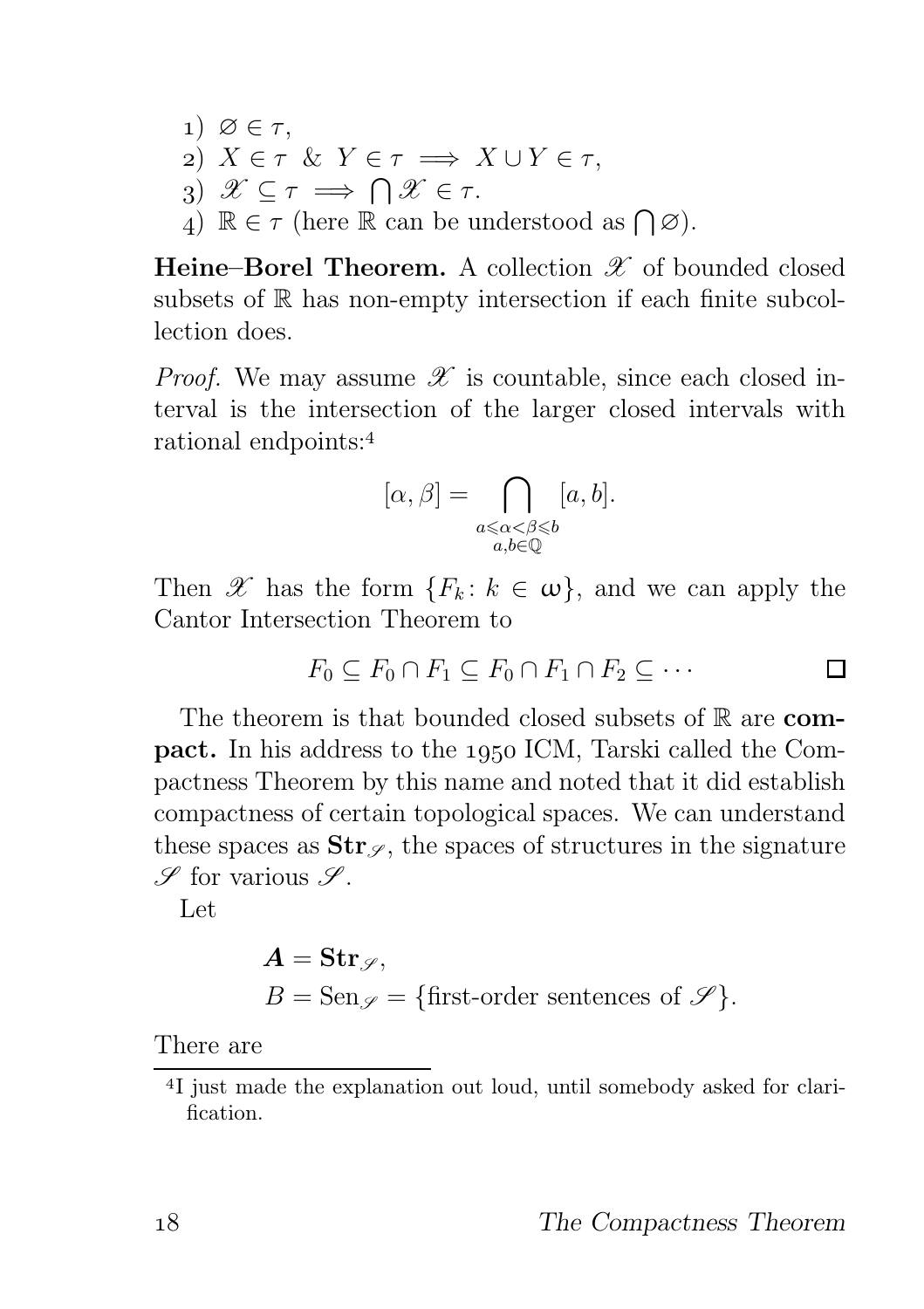1)  $\varnothing \in \tau$ , 2)  $X \in \tau \& Y \in \tau \implies X \cup Y \in \tau$ , 3)  $\mathscr{X} \subseteq \tau \implies \bigcap \mathscr{X} \in \tau$ .  $\{A\} \mathbb{R} \in \tau \text{ (here } \mathbb{R} \text{ can be understood as } \bigcap \emptyset.$ 

Heine–Borel Theorem. A collection  $\mathscr X$  of bounded closed subsets of  $\mathbb R$  has non-empty intersection if each finite subcollection does.

*Proof.* We may assume  $\mathscr X$  is countable, since each closed interval is the intersection of the larger closed intervals with rational endpoints:

$$
[\alpha,\beta]=\bigcap_{\substack{a\leqslant \alpha<\beta\leqslant b\\ a,b\in \mathbb{Q}}} [a,b].
$$

Then X has the form  ${F_k: k \in \omega}$ , and we can apply the Cantor Intersection Theorem to

$$
F_0 \subseteq F_0 \cap F_1 \subseteq F_0 \cap F_1 \cap F_2 \subseteq \cdots \qquad \qquad \Box
$$

The theorem is that bounded closed subsets of  $\mathbb R$  are compact. In his address to the ICM, Tarski called the Compactness Theorem by this name and noted that it did establish compactness of certain topological spaces. We can understand these spaces as  $\text{Str}_{\mathscr{S}}$ , the spaces of structures in the signature  $\mathscr S$  for various  $\mathscr S$ .

Let

$$
A = \text{Str}_{\mathscr{S}},
$$
  
 
$$
B = \text{Sen}_{\mathscr{S}} = \{\text{first-order sentences of } \mathscr{S}\}.
$$

There are

<sup>&</sup>lt;sup>4</sup>I just made the explanation out loud, until somebody asked for clarification.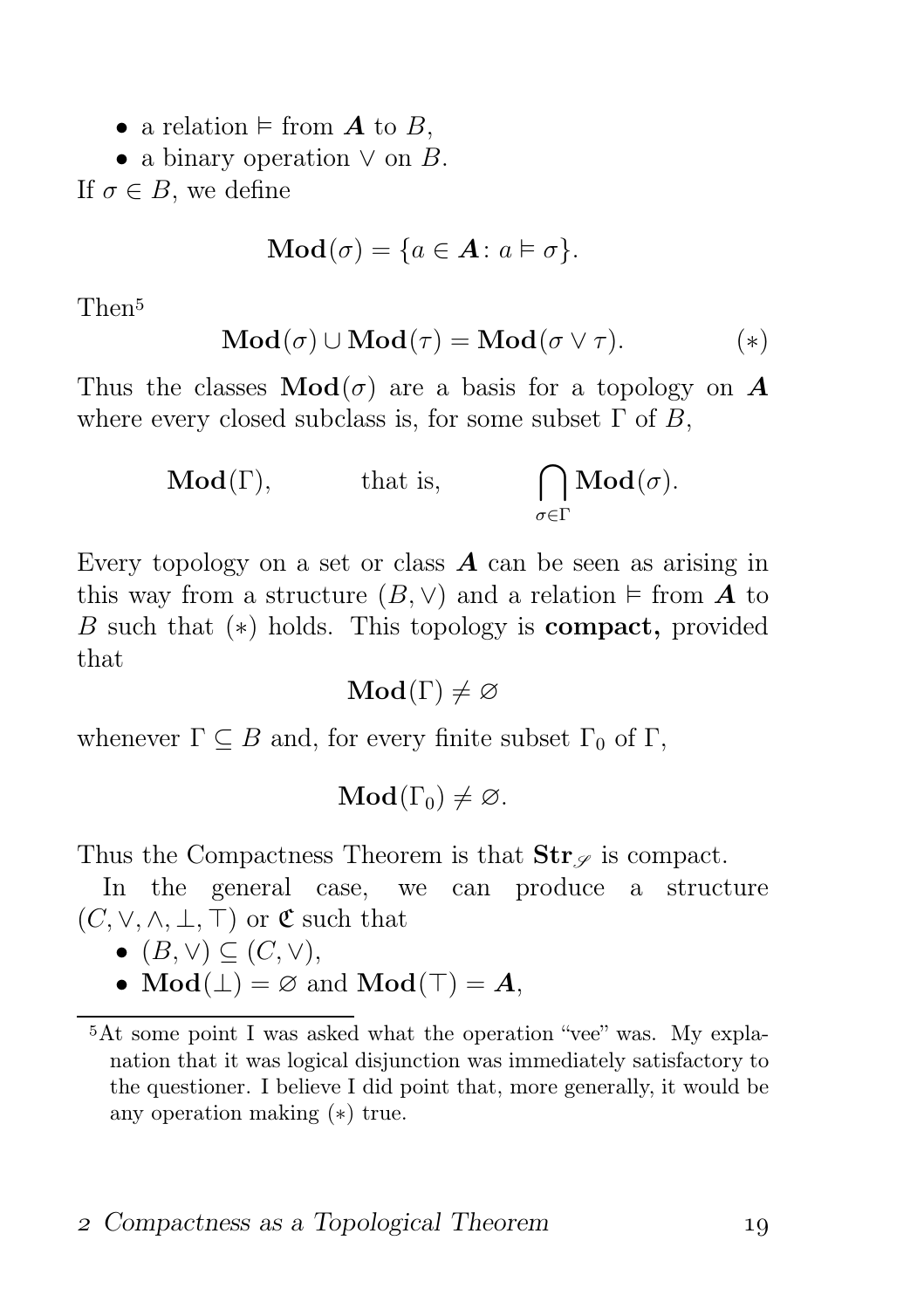- a relation  $\models$  from  $\boldsymbol{A}$  to  $\boldsymbol{B}$ ,
- a binary operation  $\vee$  on  $B$ .

If  $\sigma \in B$ , we define

$$
\mathbf{Mod}(\sigma) = \{a \in \mathbf{A} \colon a \vDash \sigma\}.
$$

Then

$$
\mathbf{Mod}(\sigma) \cup \mathbf{Mod}(\tau) = \mathbf{Mod}(\sigma \vee \tau).
$$
 (\*)

Thus the classes  $\text{Mod}(\sigma)$  are a basis for a topology on A where every closed subclass is, for some subset  $\Gamma$  of B,

**Mod**(
$$
\Gamma
$$
), that is,  $\bigcap_{\sigma \in \Gamma} \textbf{Mod}(\sigma)$ .

Every topology on a set or class  $\boldsymbol{A}$  can be seen as arising in this way from a structure  $(B, \vee)$  and a relation  $\models$  from **A** to B such that (∗) holds. This topology is compact, provided that

$$
\mathbf{Mod}(\Gamma) \neq \varnothing
$$

whenever  $\Gamma \subseteq B$  and, for every finite subset  $\Gamma_0$  of  $\Gamma$ ,

$$
\mathbf{Mod}(\Gamma_0) \neq \varnothing.
$$

Thus the Compactness Theorem is that  $\text{Str}_{\mathscr{S}}$  is compact.

In the general case, we can produce a structure  $(C, \vee, \wedge, \perp, \top)$  or  $\mathfrak{C}$  such that

- $(B, \vee) \subseteq (C, \vee),$
- $Mod(\perp) = \emptyset$  and  $Mod(\top) = A$ ,

At some point I was asked what the operation "vee" was. My explanation that it was logical disjunction was immediately satisfactory to the questioner. I believe I did point that, more generally, it would be any operation making (∗) true.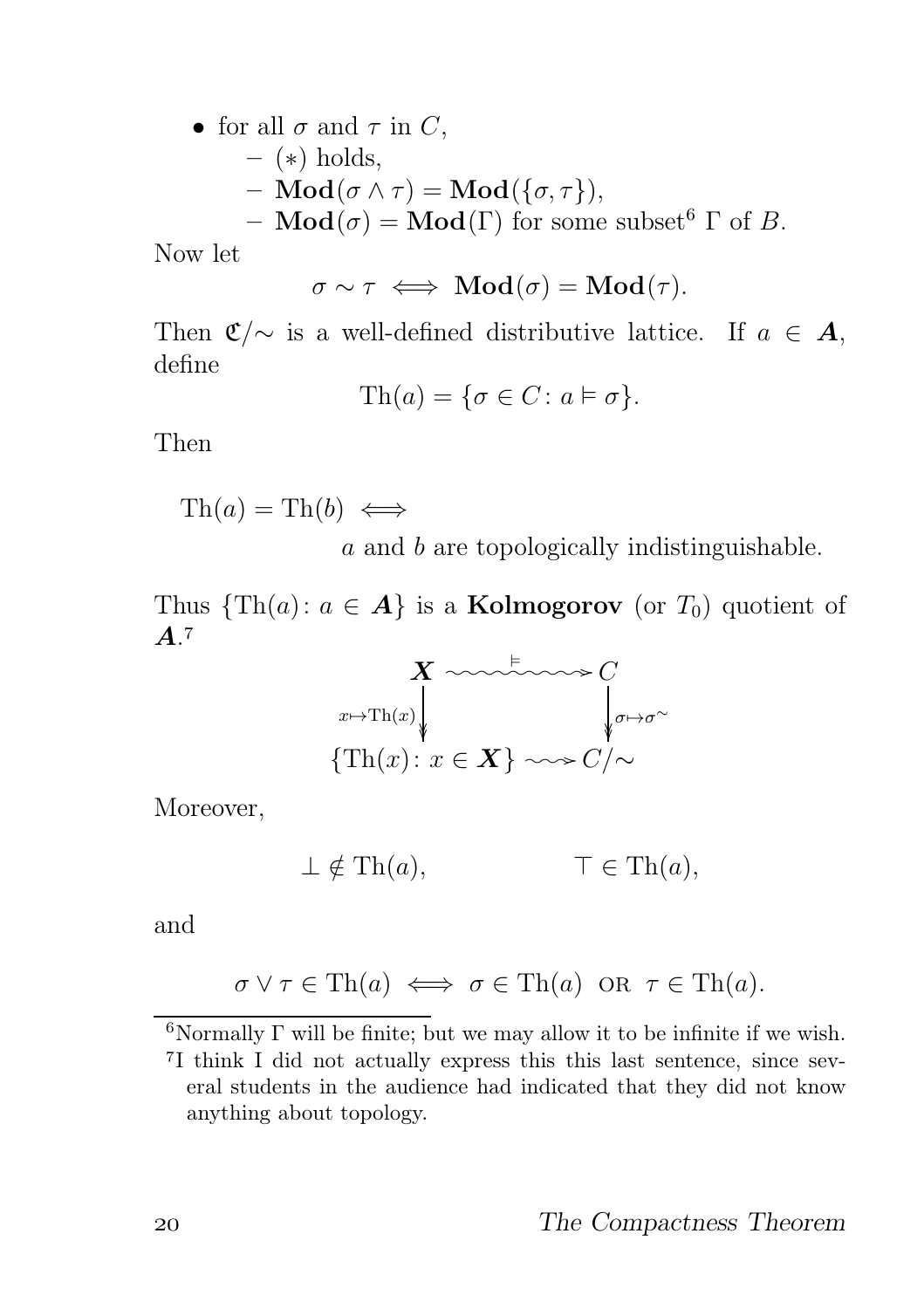• for all  $\sigma$  and  $\tau$  in  $C$ ,

$$
-
$$
 (\*) holds,

- $\text{Mod}(\sigma \wedge \tau) = \text{Mod}(\{\sigma, \tau\}),$
- $\text{Mod}(\sigma) = \text{Mod}(\Gamma)$  for some subset<sup>6</sup>  $\Gamma$  of B.

Now let

$$
\sigma \sim \tau \iff \mathbf{Mod}(\sigma) = \mathbf{Mod}(\tau).
$$

Then  $\mathfrak{C}/\sim$  is a well-defined distributive lattice. If  $a \in \mathbf{A}$ , define

$$
\text{Th}(a) = \{ \sigma \in C \colon a \models \sigma \}.
$$

Then

$$
\mathrm{Th}(a) = \mathrm{Th}(b) \iff
$$

a and b are topologically indistinguishable.

Thus  $\{\text{Th}(a): a \in \mathbf{A}\}\$ is a **Kolmogorov** (or  $T_0$ ) quotient of  $A$ <sup>7</sup>



Moreover,

$$
\perp \notin \text{Th}(a), \qquad \qquad \top \in \text{Th}(a),
$$

and

$$
\sigma \lor \tau \in \text{Th}(a) \iff \sigma \in \text{Th}(a) \text{ OR } \tau \in \text{Th}(a).
$$

<sup>&</sup>lt;sup>6</sup>Normally  $\Gamma$  will be finite; but we may allow it to be infinite if we wish.

<sup>&</sup>lt;sup>7</sup>I think I did not actually express this this last sentence, since several students in the audience had indicated that they did not know anything about topology.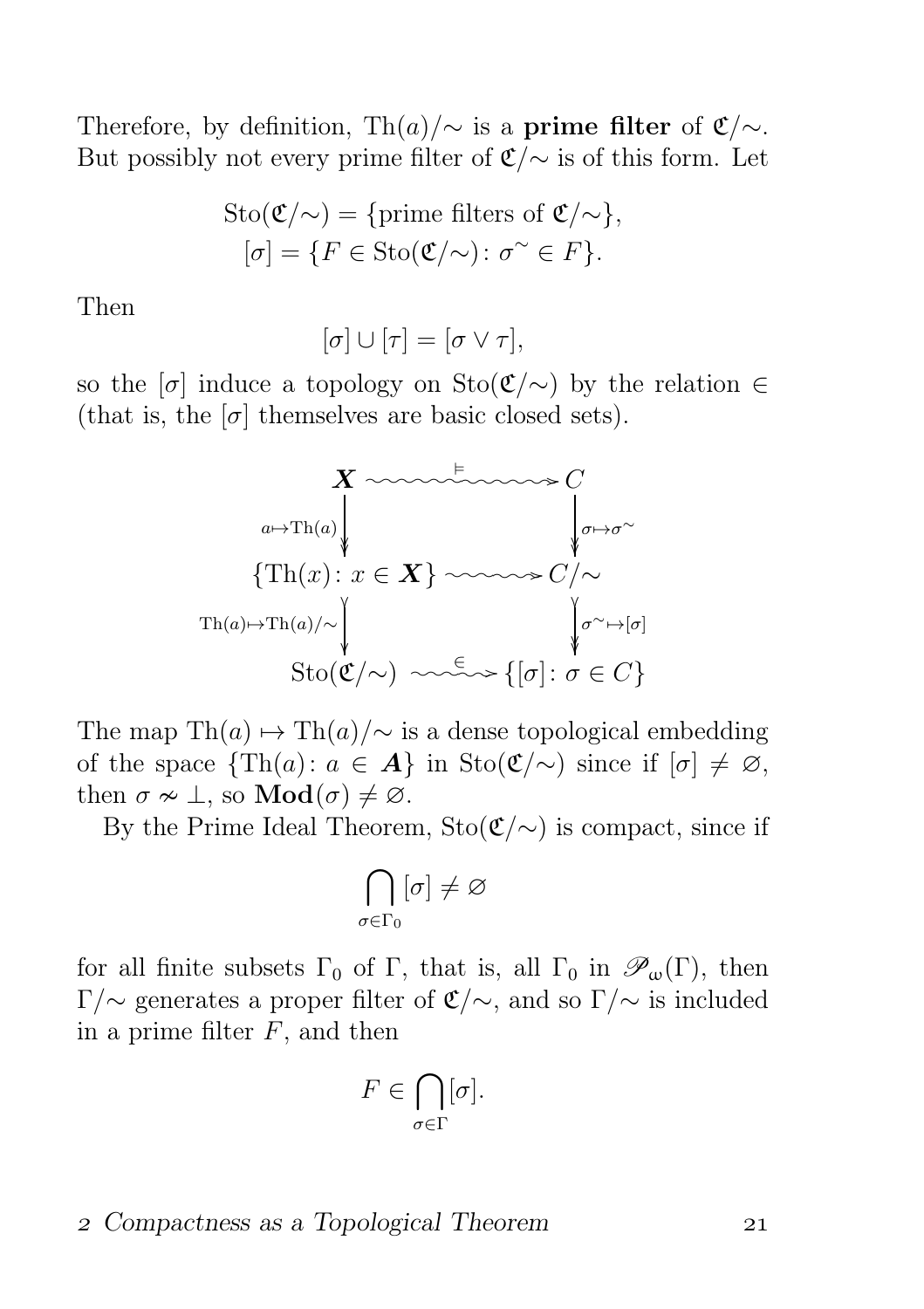Therefore, by definition, Th $(a)/\sim$  is a prime filter of  $\mathfrak{C}/\sim$ . But possibly not every prime filter of  $\mathfrak{C}/\sim$  is of this form. Let

$$
Sto(\mathfrak{C}/\!\!\sim) = \{\text{prime filters of } \mathfrak{C}/\!\!\sim\},
$$

$$
[\sigma] = \{F \in Sto(\mathfrak{C}/\!\!\sim): \sigma \sim F\}.
$$

Then

$$
[\sigma]\cup[\tau]=[\sigma\vee\tau],
$$

so the  $\lbrack \sigma \rbrack$  induce a topology on Sto $(\mathfrak{C}/\sim)$  by the relation  $\in$ (that is, the  $[\sigma]$  themselves are basic closed sets).



The map Th $(a) \mapsto Th(a)/\sim$  is a dense topological embedding of the space  $\{\text{Th}(a): a \in \mathbf{A}\}\$ in Sto $(\mathfrak{C}/\sim)$  since if  $[\sigma] \neq \emptyset$ , then  $\sigma \nsim \bot$ , so  $\mathbf{Mod}(\sigma) \neq \emptyset$ .

By the Prime Ideal Theorem,  $Sto(\mathfrak{C}/\sim)$  is compact, since if

$$
\bigcap_{\sigma\in\Gamma_0} [\sigma]\neq\varnothing
$$

for all finite subsets  $\Gamma_0$  of  $\Gamma$ , that is, all  $\Gamma_0$  in  $\mathscr{P}_{\omega}(\Gamma)$ , then Γ/∼ generates a proper filter of  $\mathfrak{C}/\sim$ , and so  $\Gamma/\sim$  is included in a prime filter  $F$ , and then

$$
F \in \bigcap_{\sigma \in \Gamma} [\sigma].
$$

#### Compactness as a Topological Theorem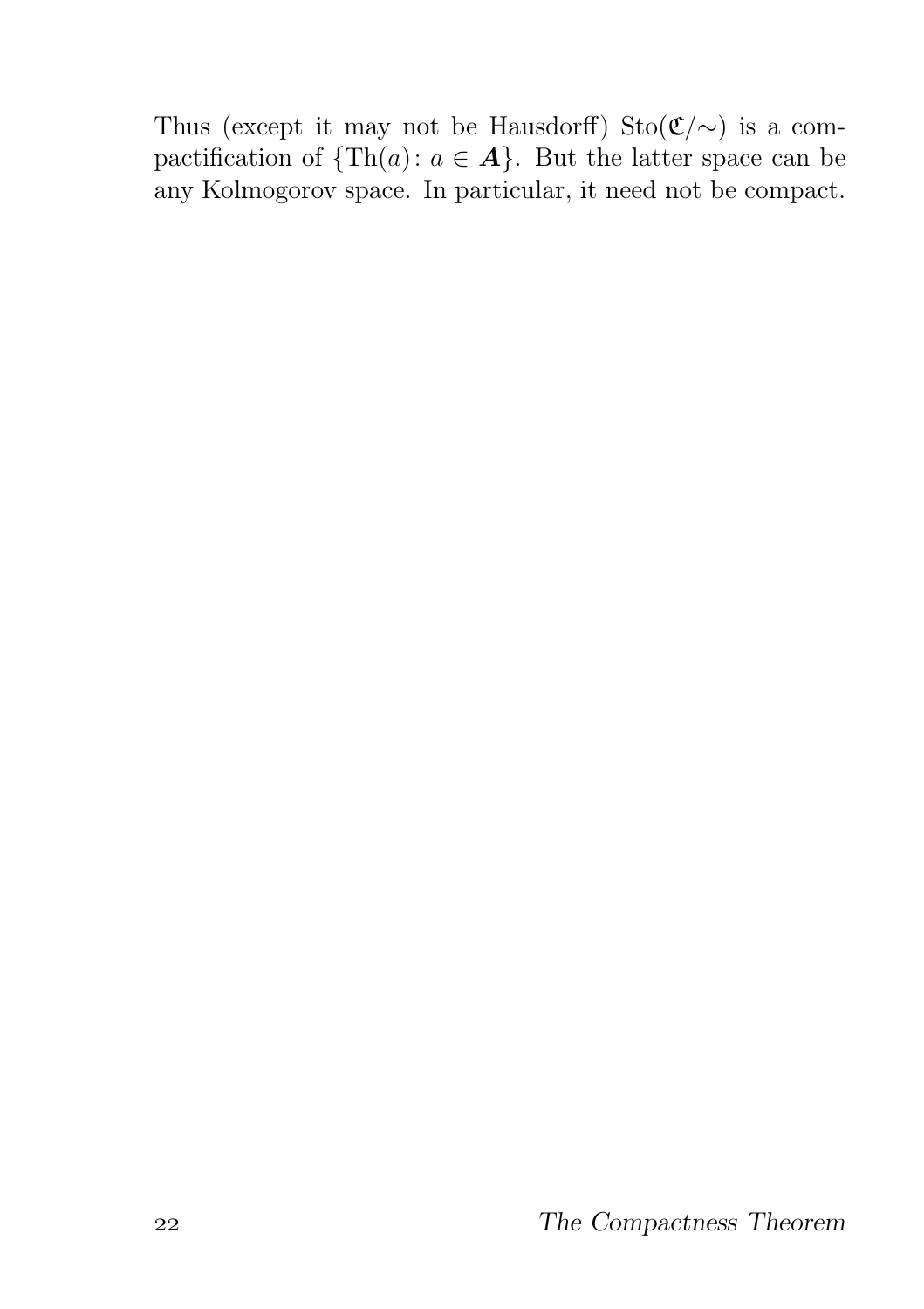Thus (except it may not be Hausdorff) Sto $(\mathfrak{C}/\sim)$  is a compactification of  $\{\text{Th}(a): a \in \mathbf{A}\}\$ . But the latter space can be any Kolmogorov space. In particular, it need not be compact.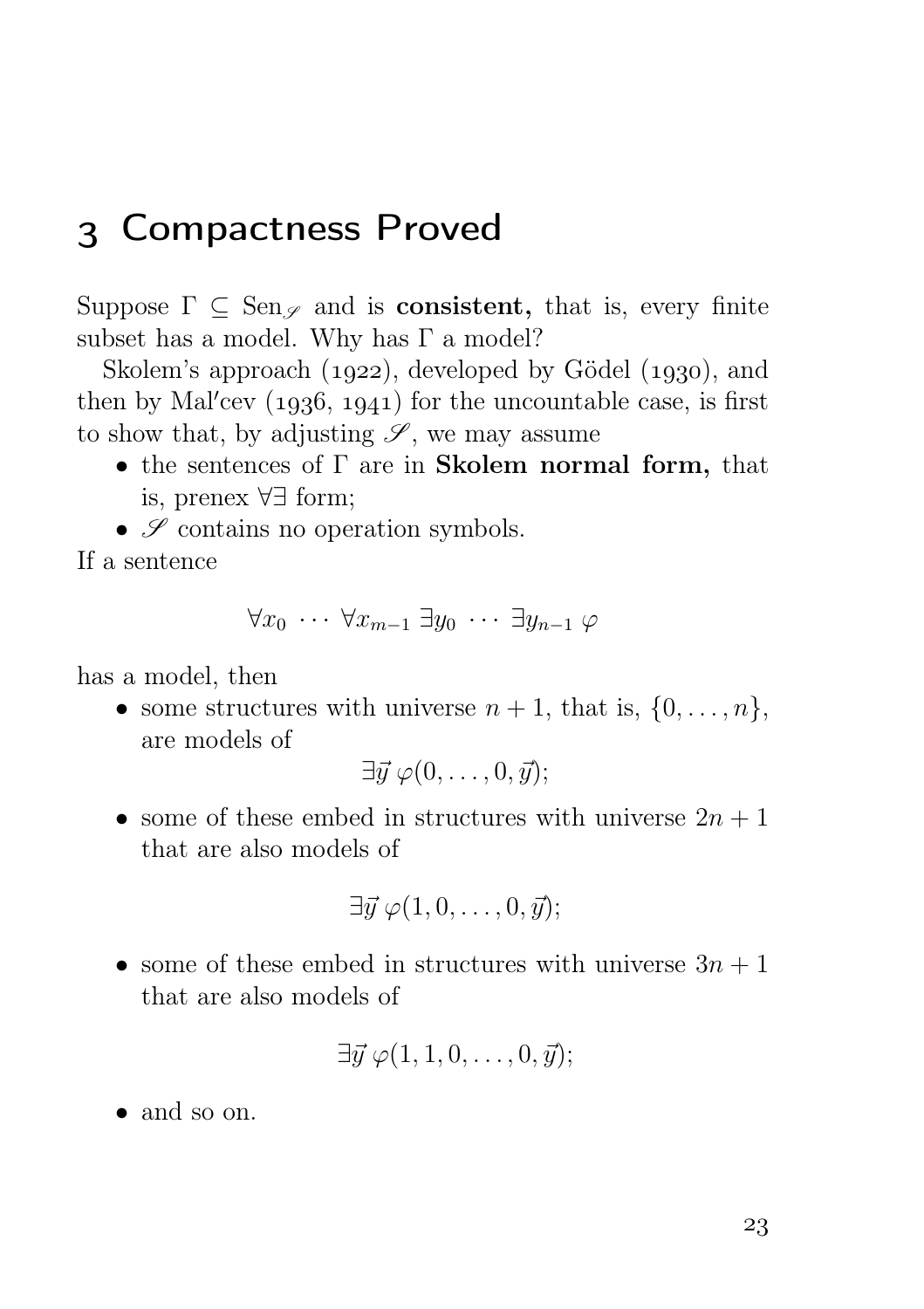# Compactness Proved

Suppose  $\Gamma \subset \text{Sen}_{\mathscr{S}}$  and is **consistent**, that is, every finite subset has a model. Why has  $\Gamma$  a model?

Skolem's approach  $(1922)$ , developed by Gödel  $(1930)$ , and then by Mal $\prime$ cev  $(1936, 1941)$  for the uncountable case, is first to show that, by adjusting  $\mathscr{S}$ , we may assume

- the sentences of  $\Gamma$  are in **Skolem normal form**, that is, prenex ∀∃ form;
- $\bullet$   $\mathcal S$  contains no operation symbols.

If a sentence

$$
\forall x_0 \cdots \forall x_{m-1} \ \exists y_0 \ \cdots \ \exists y_{n-1} \ \varphi
$$

has a model, then

• some structures with universe  $n + 1$ , that is,  $\{0, \ldots, n\}$ , are models of

$$
\exists \vec{y} \; \varphi(0,\ldots,0,\vec{y});
$$

• some of these embed in structures with universe  $2n + 1$ that are also models of

$$
\exists \vec{y} \; \varphi(1,0,\ldots,0,\vec{y});
$$

• some of these embed in structures with universe  $3n + 1$ that are also models of

$$
\exists \vec{y} \; \varphi(1,1,0,\ldots,0,\vec{y});
$$

• and so on.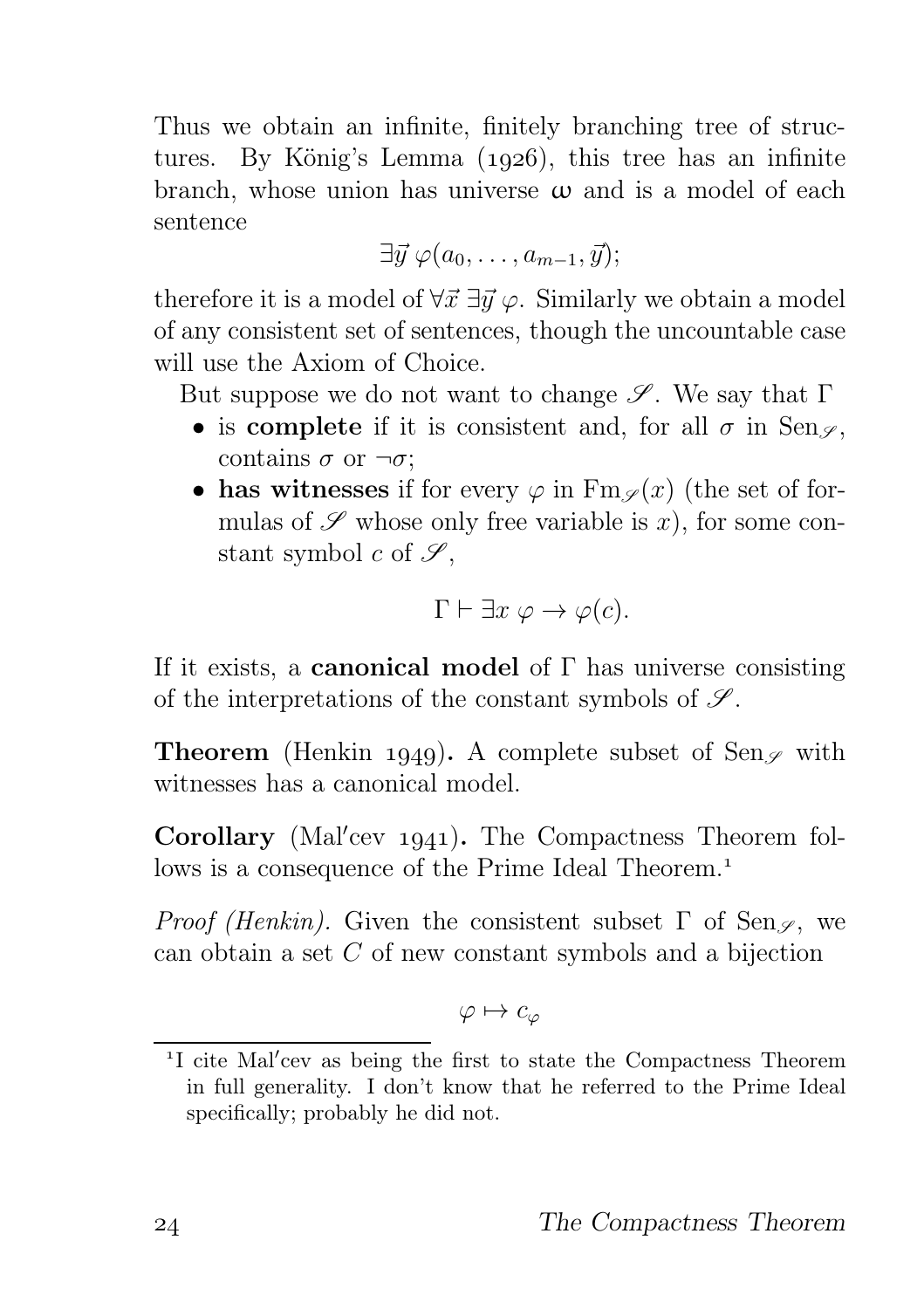Thus we obtain an infinite, finitely branching tree of structures. By König's Lemma  $(1926)$ , this tree has an infinite branch, whose union has universe  $\omega$  and is a model of each sentence

 $\exists \vec{y} \, \varphi(a_0, \ldots, a_{m-1}, \vec{y});$ 

therefore it is a model of  $\forall \vec{x} \exists \vec{y} \varphi$ . Similarly we obtain a model of any consistent set of sentences, though the uncountable case will use the Axiom of Choice.

But suppose we do not want to change  $\mathscr{S}$ . We say that  $\Gamma$ 

- is complete if it is consistent and, for all  $\sigma$  in Sen<sub> $\varphi$ </sub>, contains  $\sigma$  or  $\neg \sigma$ ;
- has witnesses if for every  $\varphi$  in  $\operatorname{Fm}\nolimits_{\varphi}(x)$  (the set of formulas of  $\mathscr S$  whose only free variable is x), for some constant symbol c of  $\mathscr{S}$ ,

$$
\Gamma \vdash \exists x \; \varphi \to \varphi(c).
$$

If it exists, a **canonical model** of  $\Gamma$  has universe consisting of the interpretations of the constant symbols of  $\mathscr{S}$ .

**Theorem** (Henkin 1949). A complete subset of Sen<sub>g</sub> with witnesses has a canonical model.

Corollary (Mal'cev 1941). The Compactness Theorem follows is a consequence of the Prime Ideal Theorem.

*Proof (Henkin)*. Given the consistent subset  $\Gamma$  of Sen<sub>g</sub>, we can obtain a set C of new constant symbols and a bijection

$$
\varphi\mapsto c_\varphi
$$

<sup>&</sup>lt;sup>1</sup>I cite Mal'cev as being the first to state the Compactness Theorem in full generality. I don't know that he referred to the Prime Ideal specifically; probably he did not.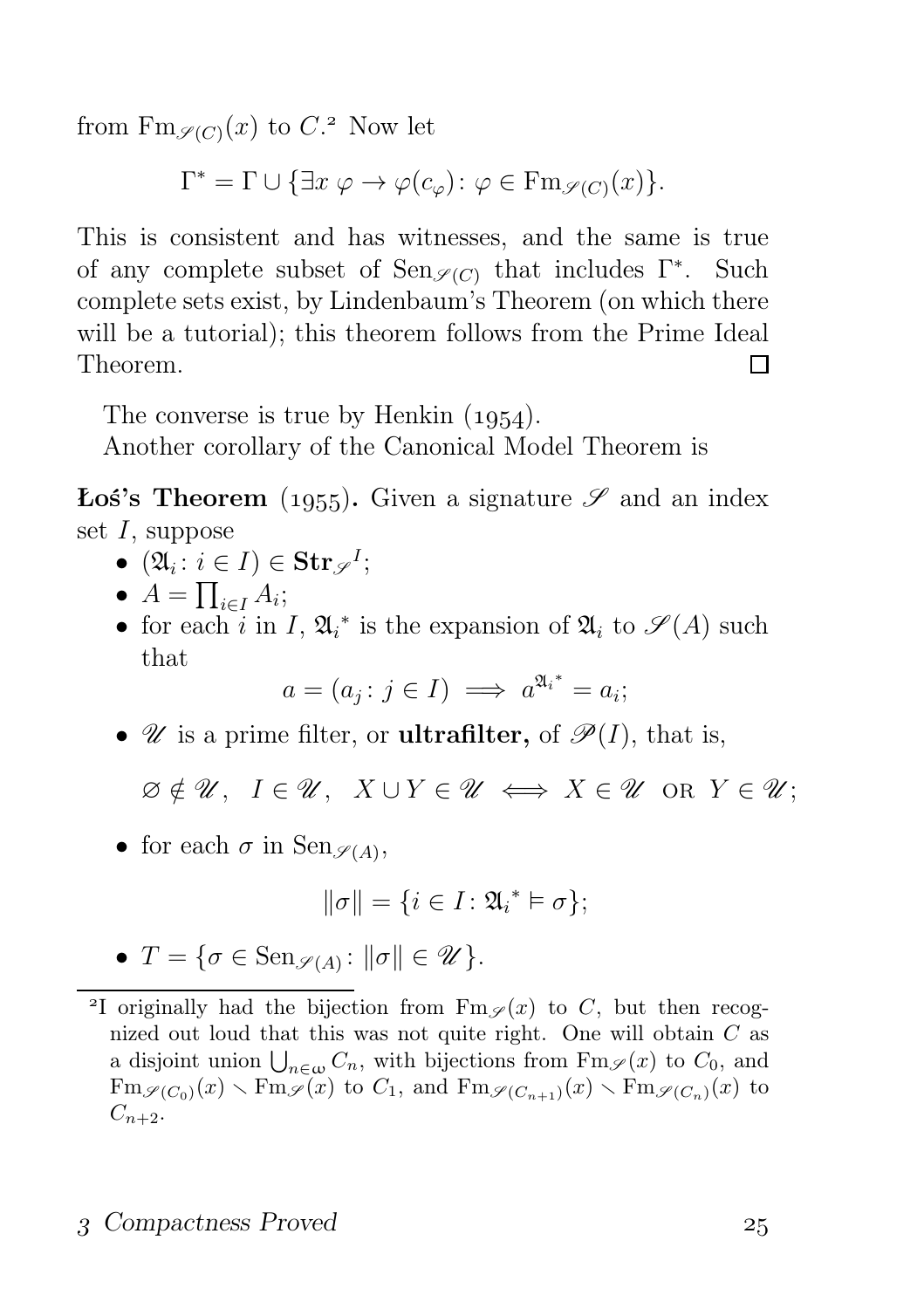from  $\text{Fm}_{\mathscr{S}(C)}(x)$  to  $C$ .<sup>2</sup> Now let

 $\Gamma^* = \Gamma \cup \{ \exists x \; \varphi \to \varphi(c_{\varphi}) \colon \varphi \in \mathrm{Fm}_{\mathscr{S}(C)}(x) \}.$ 

This is consistent and has witnesses, and the same is true of any complete subset of  $\text{Sen}_{\mathscr{S}(C)}$  that includes  $\Gamma^*$ . Such complete sets exist, by Lindenbaum's Theorem (on which there will be a tutorial); this theorem follows from the Prime Ideal Theorem. П

The converse is true by Henkin  $(1954)$ .

Another corollary of the Canonical Model Theorem is

**Łoś's Theorem** (1955). Given a signature  $\mathscr S$  and an index set I, suppose

- $(\mathfrak{A}_i : i \in I) \in \mathbf{Str}_{\mathscr{S}}^I;$
- $A = \prod_{i \in I} A_i;$
- for each i in I,  $\mathfrak{A}_i^*$  is the expansion of  $\mathfrak{A}_i$  to  $\mathscr{S}(A)$  such that

$$
a = (a_j : j \in I) \implies a^{\mathfrak{A}_i^*} = a_i;
$$

•  $\mathscr U$  is a prime filter, or **ultrafilter**, of  $\mathscr P(I)$ , that is,

 $\emptyset \notin \mathscr{U}$ ,  $I \in \mathscr{U}$ ,  $X \cup Y \in \mathscr{U} \iff X \in \mathscr{U}$  or  $Y \in \mathscr{U}$ ;

• for each  $\sigma$  in  $\text{Sen}_{\mathscr{S}(A)}$ ,

$$
\|\sigma\| = \{i \in I : \mathfrak{A}_i^* \vDash \sigma\};
$$

•  $T = \{ \sigma \in \text{Sen}_{\mathscr{S}(A)} : ||\sigma|| \in \mathscr{U} \}.$ 

#### 3 Compactness Proved 25

<sup>&</sup>lt;sup>2</sup>I originally had the bijection from  $\text{Fm}_{\mathscr{S}}(x)$  to C, but then recognized out loud that this was not quite right. One will obtain C as a disjoint union  $\bigcup_{n\in\omega}C_n$ , with bijections from  $\text{Fm}_{\mathscr{S}}(x)$  to  $C_0$ , and  $\text{Fm}_{\mathscr{S}(C_0)}(x) \setminus \text{Fm}_{\mathscr{S}}(x)$  to  $C_1$ , and  $\text{Fm}_{\mathscr{S}(C_{n+1})}(x) \setminus \text{Fm}_{\mathscr{S}(C_n)}(x)$  to  $C_{n+2}.$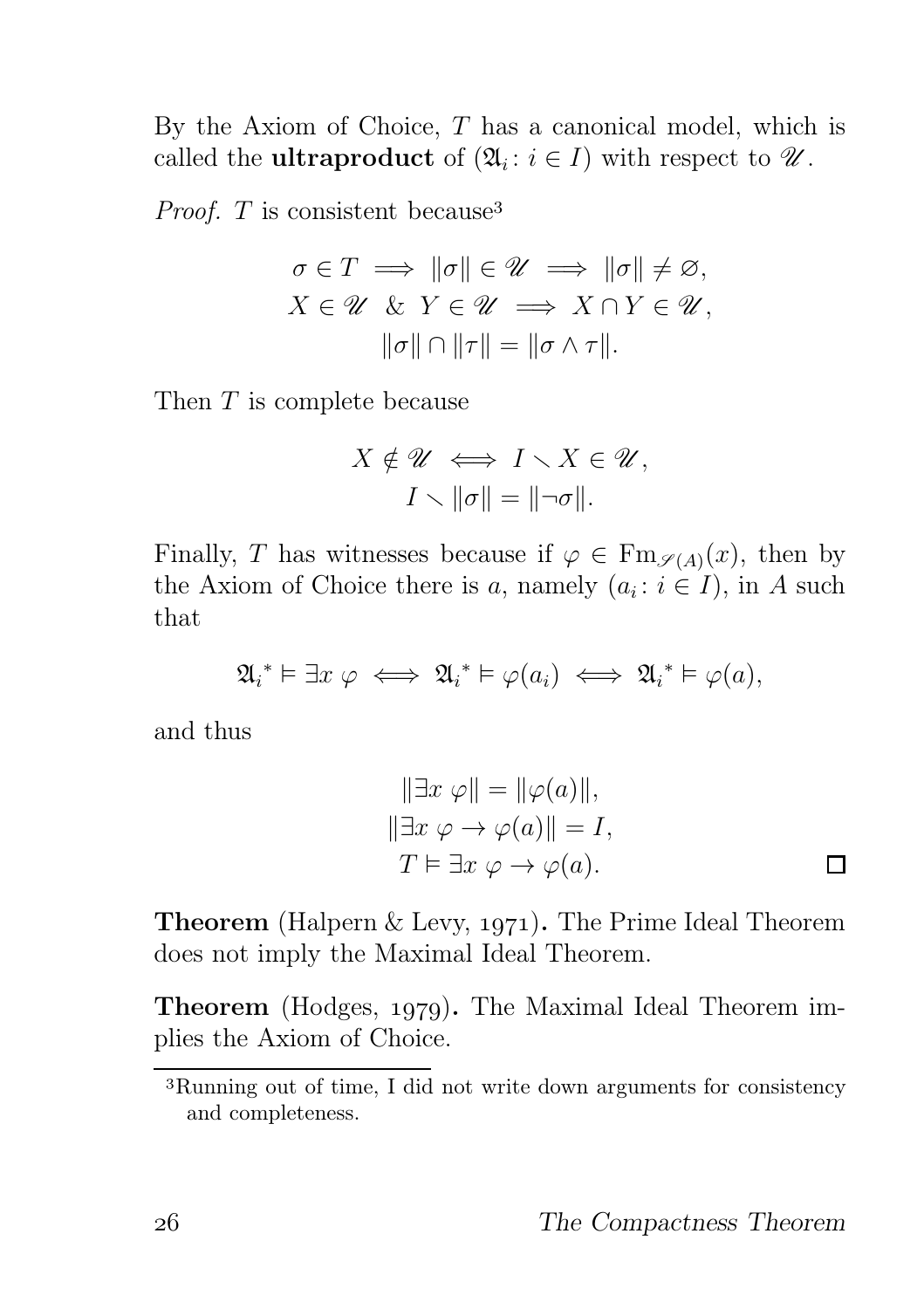By the Axiom of Choice,  $T$  has a canonical model, which is called the **ultraproduct** of  $(\mathfrak{A}_i : i \in I)$  with respect to  $\mathscr{U}$ .

*Proof.*  $T$  is consistent because<sup>3</sup>

$$
\sigma \in T \implies \|\sigma\| \in \mathcal{U} \implies \|\sigma\| \neq \varnothing,
$$
  

$$
X \in \mathcal{U} \& Y \in \mathcal{U} \implies X \cap Y \in \mathcal{U},
$$
  

$$
\|\sigma\| \cap \|\tau\| = \|\sigma \wedge \tau\|.
$$

Then T is complete because

$$
X \notin \mathscr{U} \iff I \setminus X \in \mathscr{U},
$$

$$
I \setminus \|\sigma\| = \|\neg \sigma\|.
$$

Finally, T has witnesses because if  $\varphi \in \text{Fm}_{\mathscr{S}(A)}(x)$ , then by the Axiom of Choice there is a, namely  $(a_i : i \in I)$ , in A such that

$$
\mathfrak{A}_{i}^{*} \vDash \exists x \varphi \iff \mathfrak{A}_{i}^{*} \vDash \varphi(a_{i}) \iff \mathfrak{A}_{i}^{*} \vDash \varphi(a),
$$

and thus

$$
\|\exists x \; \varphi\| = \|\varphi(a)\|,
$$
  

$$
\|\exists x \; \varphi \to \varphi(a)\| = I,
$$
  

$$
T \vDash \exists x \; \varphi \to \varphi(a).
$$

**Theorem** (Halpern  $\&$  Levy, 1971). The Prime Ideal Theorem does not imply the Maximal Ideal Theorem.

**Theorem** (Hodges, 1979). The Maximal Ideal Theorem implies the Axiom of Choice.

Running out of time, I did not write down arguments for consistency and completeness.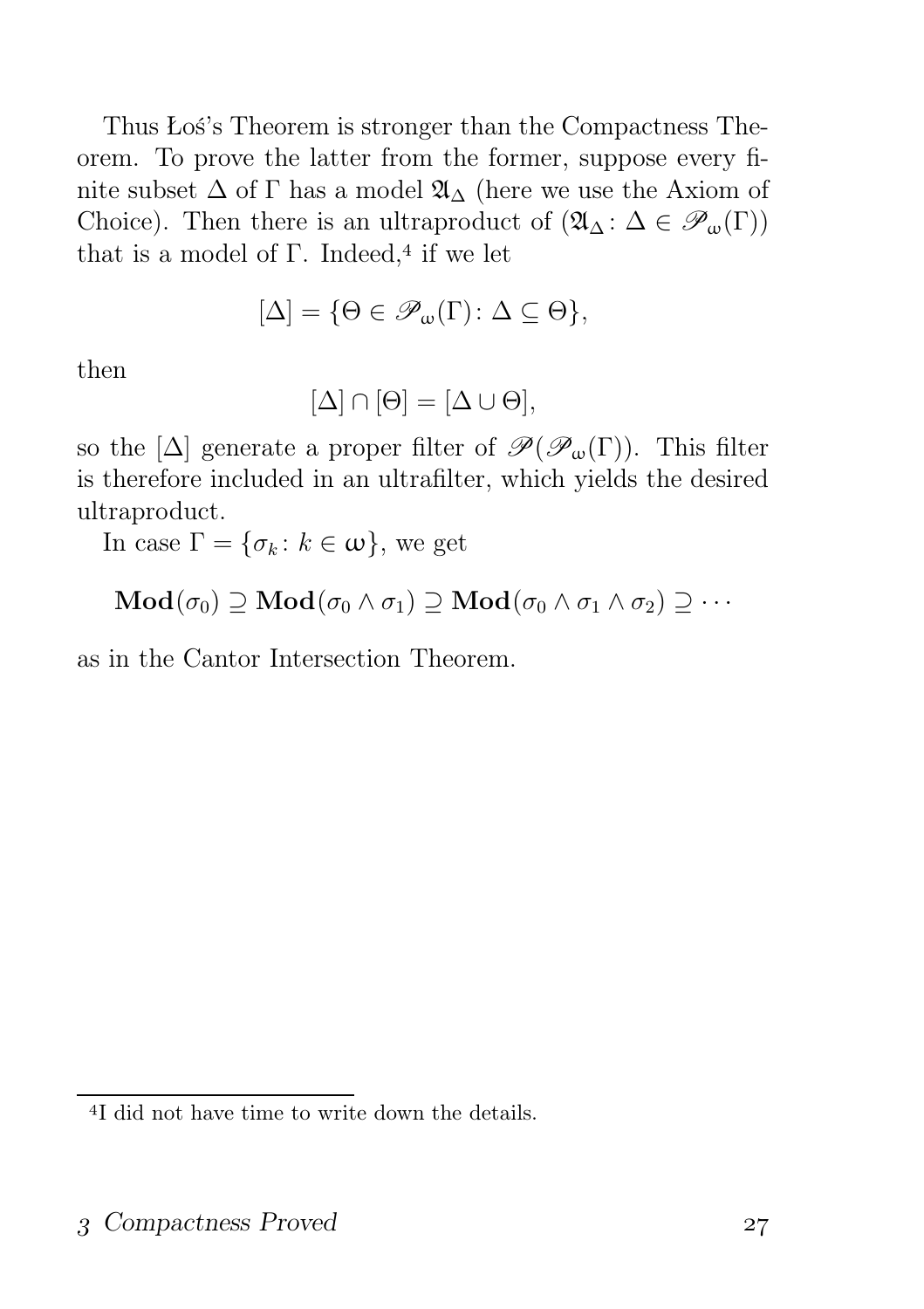Thus Łoś's Theorem is stronger than the Compactness Theorem. To prove the latter from the former, suppose every finite subset  $\Delta$  of  $\Gamma$  has a model  $\mathfrak{A}_{\Delta}$  (here we use the Axiom of Choice). Then there is an ultraproduct of  $(\mathfrak{A}_{\Delta} : \Delta \in \mathscr{P}_{\omega}(\Gamma))$ that is a model of  $\Gamma$ . Indeed,<sup>4</sup> if we let

$$
[\Delta] = \{ \Theta \in \mathscr{P}_{\omega}(\Gamma) \colon \Delta \subseteq \Theta \},
$$

then

$$
[\Delta] \cap [\Theta] = [\Delta \cup \Theta],
$$

so the  $[\Delta]$  generate a proper filter of  $\mathscr{P}(\mathscr{P}_{\omega}(\Gamma))$ . This filter is therefore included in an ultrafilter, which yields the desired ultraproduct.

In case  $\Gamma = \{\sigma_k : k \in \omega\}$ , we get

$$
\mathbf{Mod}(\sigma_0) \supseteq \mathbf{Mod}(\sigma_0 \wedge \sigma_1) \supseteq \mathbf{Mod}(\sigma_0 \wedge \sigma_1 \wedge \sigma_2) \supseteq \cdots
$$

as in the Cantor Intersection Theorem.

<sup>&</sup>lt;sup>4</sup>I did not have time to write down the details.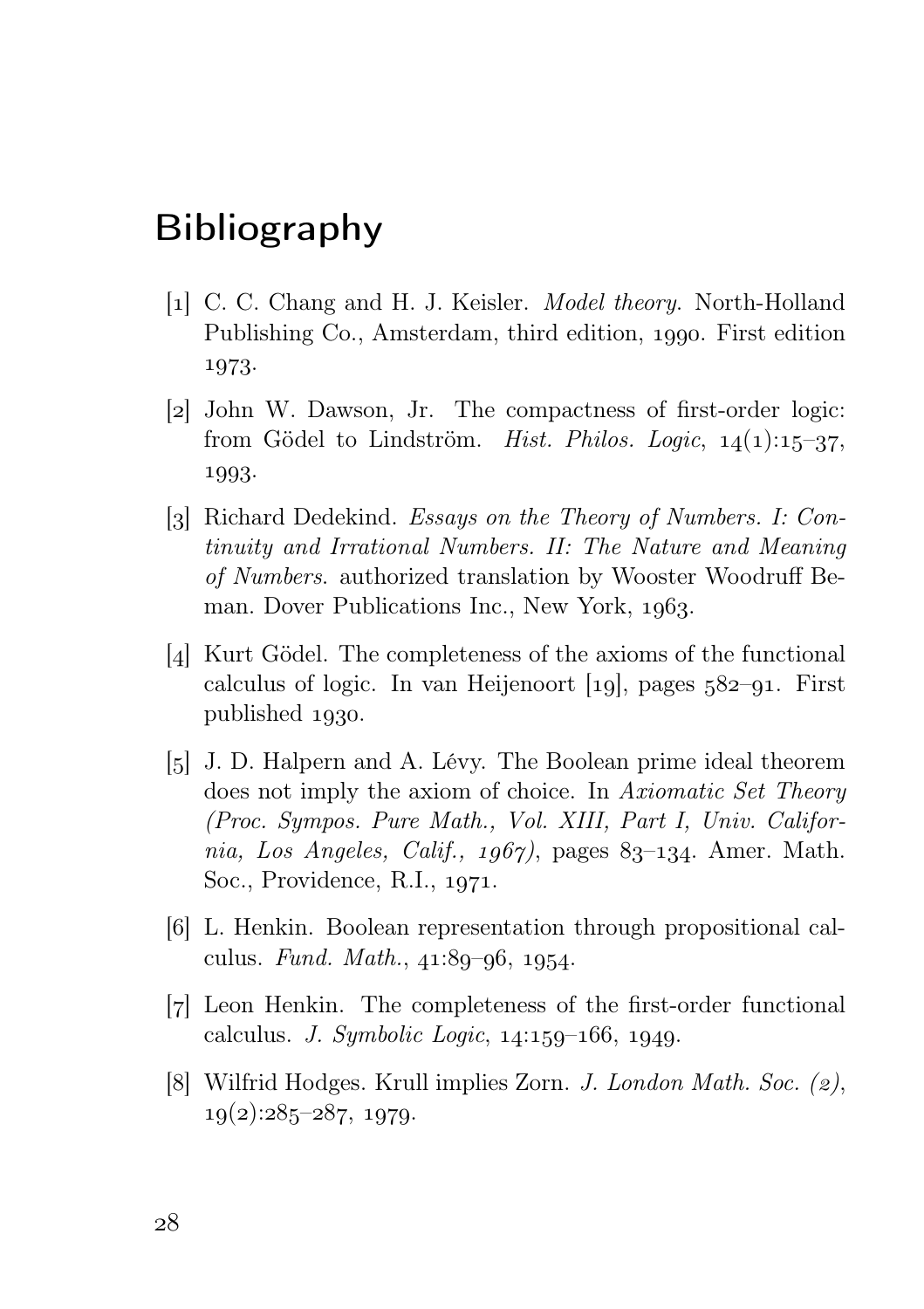# Bibliography

- [1] C. C. Chang and H. J. Keisler. *Model theory*. North-Holland Publishing Co., Amsterdam, third edition, 1990. First edition 1973.
- [2] John W. Dawson, Jr. The compactness of first-order logic: from Gödel to Lindström. *Hist. Philos. Logic*,  $14(1):15-37$ . 1993.
- [3] Richard Dedekind. Essays on the Theory of Numbers. I: Continuity and Irrational Numbers. II: The Nature and Meaning of Numbers. authorized translation by Wooster Woodruff Beman. Dover Publications Inc., New York, 1963.
- [4] Kurt Gödel. The completeness of the axioms of the functional calculus of logic. In van Heijenoort  $[19]$ , pages  $582-91$ . First published 1930.
- [5] J. D. Halpern and A. Lévy. The Boolean prime ideal theorem does not imply the axiom of choice. In Axiomatic Set Theory (Proc. Sympos. Pure Math., Vol. XIII, Part I, Univ. California, Los Angeles, Calif., 1967), pages 83-134. Amer. Math. Soc., Providence, R.I., 1971.
- [6] L. Henkin. Boolean representation through propositional calculus. Fund. Math.,  $41:89-96$ ,  $1954$ .
- [7] Leon Henkin. The completeness of the first-order functional calculus. *J. Symbolic Logic*,  $14:159-166$ ,  $1949$ .
- [8] Wilfrid Hodges. Krull implies Zorn. *J. London Math. Soc.*  $(z)$ .  $19(2):285-287, 1979.$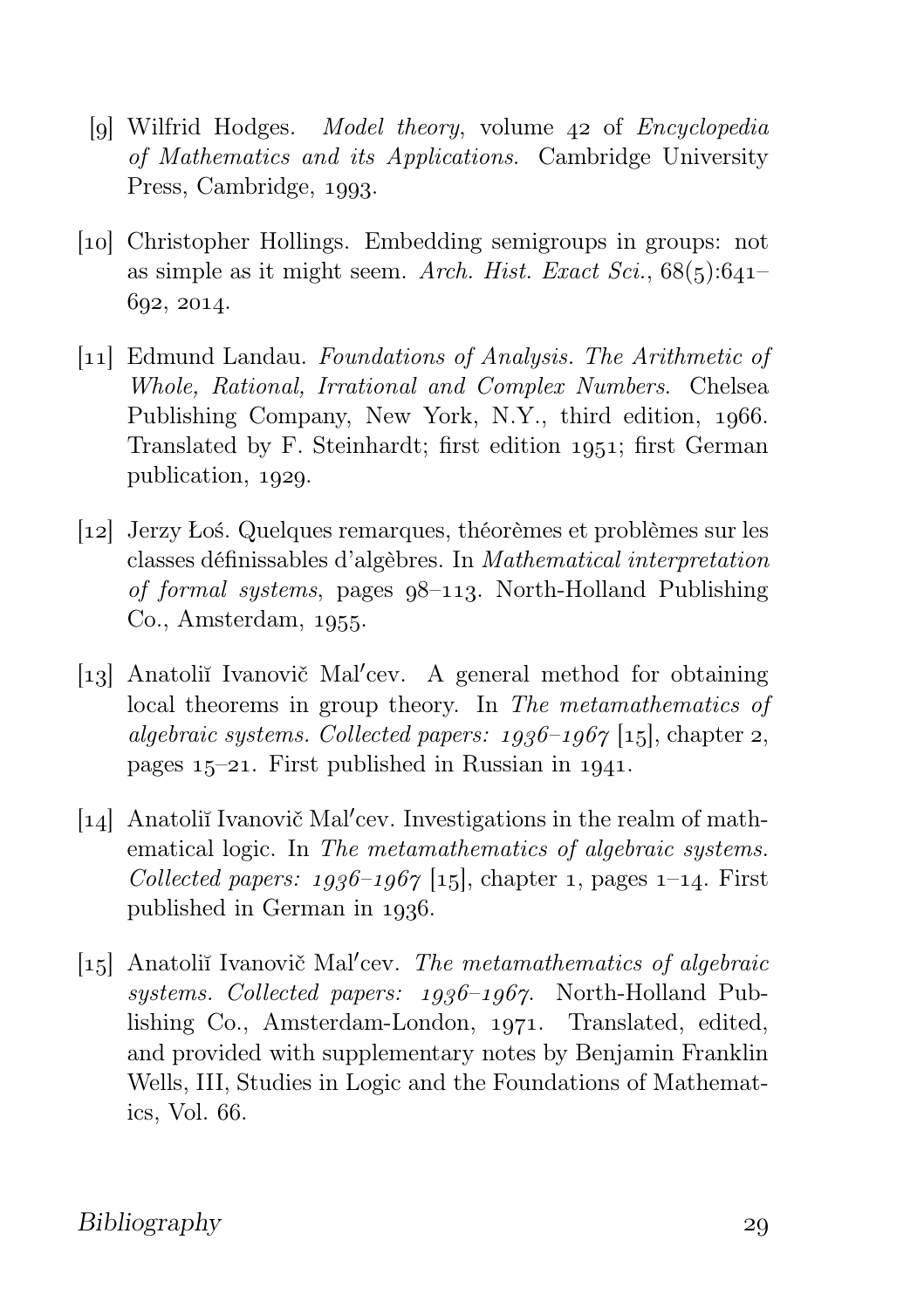- [9] Wilfrid Hodges. Model theory, volume  $42$  of Encyclopedia of Mathematics and its Applications. Cambridge University Press, Cambridge, 1993.
- [10] Christopher Hollings. Embedding semigroups in groups: not as simple as it might seem. Arch. Hist. Exact Sci.,  $68(5):641-$ 602, 2014.
- [11] Edmund Landau. Foundations of Analysis. The Arithmetic of Whole, Rational, Irrational and Complex Numbers. Chelsea Publishing Company, New York, N.Y., third edition, 1966. Translated by F. Steinhardt; first edition 1951; first German publication, 1929.
- [] Jerzy Łoś. Quelques remarques, théorèmes et problèmes sur les classes définissables d'algèbres. In Mathematical interpretation of formal systems, pages  $q8-113$ . North-Holland Publishing  $Co.,$  Amsterdam,  $1955.$
- [13] Anatoliĭ Ivanovič Mal'cev. A general method for obtaining local theorems in group theory. In The metamathematics of algebraic systems. Collected papers:  $1936-1967$  [15], chapter 2, pages  $15-21$ . First published in Russian in 1941.
- [14] Anatoliĭ Ivanovič Mal'cev. Investigations in the realm of mathematical logic. In *The metamathematics of algebraic systems*. Collected papers:  $1936-1967$  [15], chapter 1, pages 1-14. First published in German in 1936.
- [15] Anatoliĭ Ivanovič Mal'cev. The metamathematics of algebraic systems. Collected papers:  $1936-1967$ . North-Holland Publishing Co., Amsterdam-London, 1971. Translated, edited, and provided with supplementary notes by Benjamin Franklin Wells, III, Studies in Logic and the Foundations of Mathematics, Vol. 66.

Bibliography 29